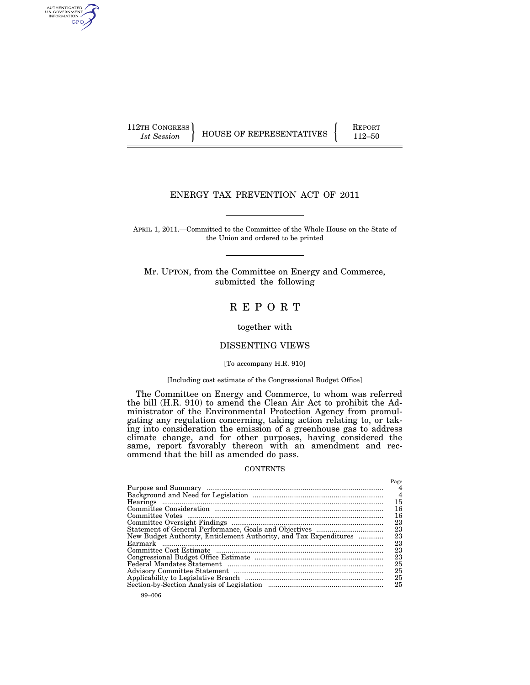AUTHENTICATED<br>U.S. GOVERNMENT<br>INFORMATION GPO

112TH CONGRESS **REPORT 112-50** HOUSE OF REPRESENTATIVES **112–50** 

 $D_{\alpha\alpha\alpha}$ 

## ENERGY TAX PREVENTION ACT OF 2011

APRIL 1, 2011.—Committed to the Committee of the Whole House on the State of the Union and ordered to be printed

Mr. UPTON, from the Committee on Energy and Commerce, submitted the following

## R E P O R T

#### together with

## DISSENTING VIEWS

#### [To accompany H.R. 910]

## [Including cost estimate of the Congressional Budget Office]

The Committee on Energy and Commerce, to whom was referred the bill (H.R. 910) to amend the Clean Air Act to prohibit the Administrator of the Environmental Protection Agency from promulgating any regulation concerning, taking action relating to, or taking into consideration the emission of a greenhouse gas to address climate change, and for other purposes, having considered the same, report favorably thereon with an amendment and recommend that the bill as amended do pass.

#### **CONTENTS**

|                                                                   | 1 age |
|-------------------------------------------------------------------|-------|
|                                                                   | 4     |
|                                                                   | 15    |
|                                                                   | 16    |
|                                                                   | 16    |
|                                                                   | 23    |
|                                                                   | 23    |
| New Budget Authority, Entitlement Authority, and Tax Expenditures | 23    |
|                                                                   | 23    |
|                                                                   | 23    |
|                                                                   | 23    |
|                                                                   | 25    |
|                                                                   | 25    |
|                                                                   | 25    |
|                                                                   | 25    |
|                                                                   |       |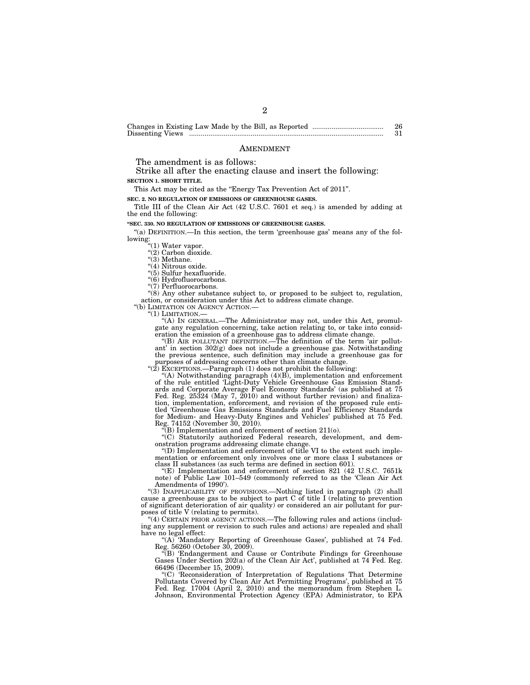|                  | 26 |
|------------------|----|
| Dissenting Views |    |

#### AMENDMENT

The amendment is as follows:

Strike all after the enacting clause and insert the following: **SECTION 1. SHORT TITLE.** 

This Act may be cited as the "Energy Tax Prevention Act of 2011".

**SEC. 2. NO REGULATION OF EMISSIONS OF GREENHOUSE GASES.** 

Title III of the Clean Air Act (42 U.S.C. 7601 et seq.) is amended by adding at the end the following:

**''SEC. 330. NO REGULATION OF EMISSIONS OF GREENHOUSE GASES.** 

"(a) DEFINITION.—In this section, the term 'greenhouse gas' means any of the following:<br>"(1) Water vapor.

''(2) Carbon dioxide. ''(3) Methane.

"(4) Nitrous oxide.

''(5) Sulfur hexafluoride.

"(6) Hydrofluorocarbons.

''(7) Perfluorocarbons.

"(8) Any other substance subject to, or proposed to be subject to, regulation, action, or consideration under this Act to address climate change.<br>"(b) LIMITATION ON AGENCY ACTION.—

"(1) LIMITATION.—<br>"(A) IN GENERAL.—The Administrator may not, under this Act, promulgate any regulation concerning, take action relating to, or take into consid-

eration the emission of a greenhouse gas to address climate change. ''(B) AIR POLLUTANT DEFINITION.—The definition of the term 'air pollutant' in section  $302(g)$  does not include a greenhouse gas. Notwithstanding the previous sentence, such definition may include a greenhouse gas for purposes of addressing concerns other than climate change.<br>"(2) EXCEPTIONS.—Paragraph (1) does not prohibit the following:

''(A) Notwithstanding paragraph (4)(B), implementation and enforcement of the rule entitled 'Light-Duty Vehicle Greenhouse Gas Emission Standards and Corporate Average Fuel Economy Standards' (as published at 75 Fed. Reg. 25324 (May 7, 2010) and without further revision) and finalization, implementation, enforcement, and revision of the proposed rule enti-tled 'Greenhouse Gas Emissions Standards and Fuel Efficiency Standards for Medium- and Heavy-Duty Engines and Vehicles' published at 75 Fed. Reg. 74152 (November 30, 2010).

 $E(B)$  Implementation and enforcement of section  $211(0)$ .

''(C) Statutorily authorized Federal research, development, and demonstration programs addressing climate change. ''(D) Implementation and enforcement of title VI to the extent such imple-

mentation or enforcement only involves one or more class I substances or class II substances (as such terms are defined in section 601).

''(E) Implementation and enforcement of section 821 (42 U.S.C. 7651k note) of Public Law 101–549 (commonly referred to as the 'Clean Air Act Amendments of 1990').

"(3) INAPPLICABILITY OF PROVISIONS.—Nothing listed in paragraph (2) shall cause a greenhouse gas to be subject to part C of title I (relating to prevention of significant deterioration of air quality) or considered an air pollutant for purposes of title V (relating to permits).

"(4) CERTAIN PRIOR AGENCY ACTIONS.—The following rules and actions (including any supplement or revision to such rules and actions) are repealed and shall have no legal effect:

"(A) 'Mandatory Reporting of Greenhouse Gases', published at 74 Fed. Reg. 56260 (October 30, 2009).

''(B) 'Endangerment and Cause or Contribute Findings for Greenhouse Gases Under Section 202(a) of the Clean Air Act', published at 74 Fed. Reg.

66496 (December 15, 2009). ''(C) 'Reconsideration of Interpretation of Regulations That Determine Pollutants Covered by Clean Air Act Permitting Programs', published at 75 Fed. Reg. 17004 (April 2, 2010) and the memorandum from Stephen L. Johnson, Environmental Protection Agency (EPA) Administrator, to EPA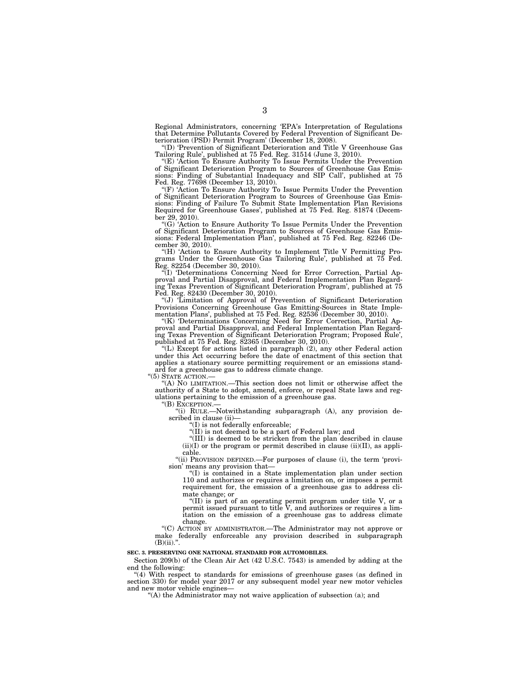Regional Administrators, concerning 'EPA's Interpretation of Regulations that Determine Pollutants Covered by Federal Prevention of Significant Deterioration (PSD) Permit Program' (December 18, 2008).

''(D) 'Prevention of Significant Deterioration and Title V Greenhouse Gas Tailoring Rule', published at 75 Fed. Reg. 31514 (June 3, 2010).

''(E) 'Action To Ensure Authority To Issue Permits Under the Prevention of Significant Deterioration Program to Sources of Greenhouse Gas Emissions: Finding of Substantial Inadequacy and SIP Call', published at 75 Fed. Reg. 77698 (December 13, 2010).

''(F) 'Action To Ensure Authority To Issue Permits Under the Prevention of Significant Deterioration Program to Sources of Greenhouse Gas Emissions: Finding of Failure To Submit State Implementation Plan Revisions Required for Greenhouse Gases', published at 75 Fed. Reg. 81874 (December 29, 2010).

''(G) 'Action to Ensure Authority To Issue Permits Under the Prevention of Significant Deterioration Program to Sources of Greenhouse Gas Emissions: Federal Implementation Plan', published at 75 Fed. Reg. 82246 (December 30, 2010).

"(H) 'Action to Ensure Authority to Implement Title V Permitting Programs Under the Greenhouse Gas Tailoring Rule', published at 75 Fed. Reg. 82254 (December 30, 2010).

''(I) 'Determinations Concerning Need for Error Correction, Partial Approval and Partial Disapproval, and Federal Implementation Plan Regarding Texas Prevention of Significant Deterioration Program', published at 75 Fed. Reg. 82430 (December 30, 2010).

''(J) 'Limitation of Approval of Prevention of Significant Deterioration Provisions Concerning Greenhouse Gas Emitting-Sources in State Implementation Plans', published at 75 Fed. Reg. 82536 (December 30, 2010).

''(K) 'Determinations Concerning Need for Error Correction, Partial Approval and Partial Disapproval, and Federal Implementation Plan Regarding Texas Prevention of Significant Deterioration Program; Proposed Rule', published at 75 Fed. Reg. 82365 (December 30, 2010).

''(L) Except for actions listed in paragraph (2), any other Federal action under this Act occurring before the date of enactment of this section that applies a stationary source permitting requirement or an emissions standard for a greenhouse gas to address climate change.

"(5) STATE ACTION.-

''(A) NO LIMITATION.—This section does not limit or otherwise affect the authority of a State to adopt, amend, enforce, or repeal State laws and regulations pertaining to the emission of a greenhouse gas.

''(B) EXCEPTION.—

''(i) RULE.—Notwithstanding subparagraph (A), any provision described in clause (ii)—

''(I) is not federally enforceable;

''(II) is not deemed to be a part of Federal law; and

''(III) is deemed to be stricken from the plan described in clause  $(ii)(I)$  or the program or permit described in clause  $(ii)(II)$ , as applicable.

''(ii) PROVISION DEFINED.—For purposes of clause (i), the term 'provision' means any provision that—

''(I) is contained in a State implementation plan under section 110 and authorizes or requires a limitation on, or imposes a permit requirement for, the emission of a greenhouse gas to address climate change; or

''(II) is part of an operating permit program under title V, or a permit issued pursuant to title V, and authorizes or requires a limitation on the emission of a greenhouse gas to address climate change.

''(C) ACTION BY ADMINISTRATOR.—The Administrator may not approve or make federally enforceable any provision described in subparagraph  $(B)(ii).$ 

#### **SEC. 3. PRESERVING ONE NATIONAL STANDARD FOR AUTOMOBILES.**

Section 209(b) of the Clean Air Act (42 U.S.C. 7543) is amended by adding at the end the following:

''(4) With respect to standards for emissions of greenhouse gases (as defined in section 330) for model year 2017 or any subsequent model year new motor vehicles and new motor vehicle engines-

''(A) the Administrator may not waive application of subsection (a); and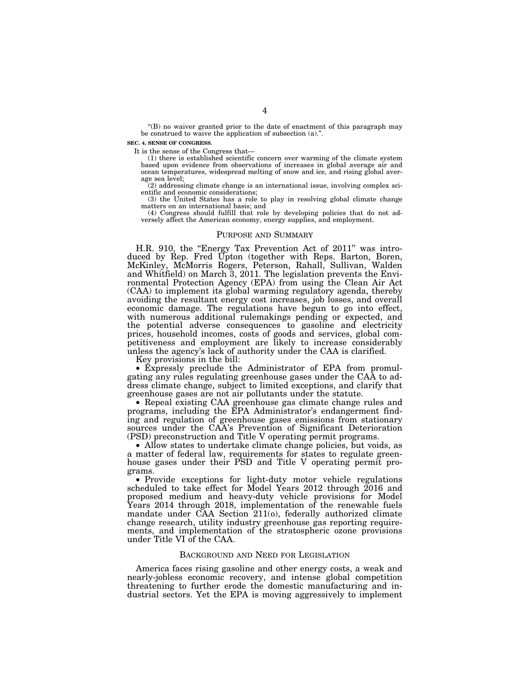''(B) no waiver granted prior to the date of enactment of this paragraph may be construed to waive the application of subsection (a).''.

#### **SEC. 4. SENSE OF CONGRESS.**

It is the sense of the Congress that—

(1) there is established scientific concern over warming of the climate system based upon evidence from observations of increases in global average air and ocean temperatures, widespread melting of snow and ice, and rising global average sea level;

(2) addressing climate change is an international issue, involving complex scientific and economic considerations;

(3) the United States has a role to play in resolving global climate change matters on an international basis; and

(4) Congress should fulfill that role by developing policies that do not adversely affect the American economy, energy supplies, and employment.

#### PURPOSE AND SUMMARY

H.R. 910, the "Energy Tax Prevention Act of 2011" was introduced by Rep. Fred Upton (together with Reps. Barton, Boren, McKinley, McMorris Rogers, Peterson, Rahall, Sullivan, Walden and Whitfield) on March 3, 2011. The legislation prevents the Environmental Protection Agency (EPA) from using the Clean Air Act (CAA) to implement its global warming regulatory agenda, thereby avoiding the resultant energy cost increases, job losses, and overall economic damage. The regulations have begun to go into effect, with numerous additional rulemakings pending or expected, and the potential adverse consequences to gasoline and electricity prices, household incomes, costs of goods and services, global competitiveness and employment are likely to increase considerably unless the agency's lack of authority under the CAA is clarified.

Key provisions in the bill:

• Expressly preclude the Administrator of EPA from promulgating any rules regulating greenhouse gases under the CAA to address climate change, subject to limited exceptions, and clarify that greenhouse gases are not air pollutants under the statute. greenhouse gases are not air pollutants under the statute. • Repeal existing CAA greenhouse gas climate change rules and

programs, including the EPA Administrator's endangerment finding and regulation of greenhouse gases emissions from stationary sources under the CAA's Prevention of Significant Deterioration (PSD) preconstruction and Title V operating permit programs.

• Allow states to undertake climate change policies, but voids, as a matter of federal law, requirements for states to regulate greenhouse gases under their PSD and Title V operating permit pro-

grams. • Provide exceptions for light-duty motor vehicle regulations scheduled to take effect for Model Years 2012 through 2016 and proposed medium and heavy-duty vehicle provisions for Model Years 2014 through 2018, implementation of the renewable fuels mandate under CAA Section 211(o), federally authorized climate change research, utility industry greenhouse gas reporting requirements, and implementation of the stratospheric ozone provisions under Title VI of the CAA.

#### BACKGROUND AND NEED FOR LEGISLATION

America faces rising gasoline and other energy costs, a weak and nearly-jobless economic recovery, and intense global competition threatening to further erode the domestic manufacturing and industrial sectors. Yet the EPA is moving aggressively to implement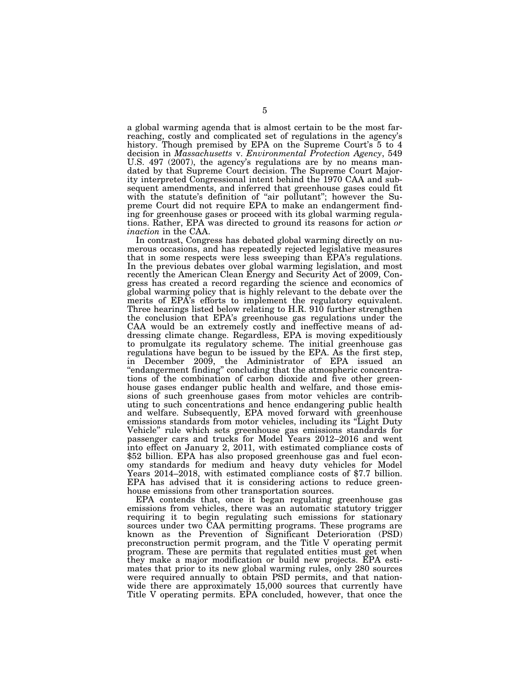a global warming agenda that is almost certain to be the most farreaching, costly and complicated set of regulations in the agency's history. Though premised by EPA on the Supreme Court's 5 to 4 decision in *Massachusetts* v. *Environmental Protection Agency*, 549 U.S. 497 (2007), the agency's regulations are by no means mandated by that Supreme Court decision. The Supreme Court Majority interpreted Congressional intent behind the 1970 CAA and subsequent amendments, and inferred that greenhouse gases could fit with the statute's definition of "air pollutant"; however the Supreme Court did not require EPA to make an endangerment finding for greenhouse gases or proceed with its global warming regulations. Rather, EPA was directed to ground its reasons for action *or inaction* in the CAA.

In contrast, Congress has debated global warming directly on numerous occasions, and has repeatedly rejected legislative measures that in some respects were less sweeping than EPA's regulations. In the previous debates over global warming legislation, and most recently the American Clean Energy and Security Act of 2009, Congress has created a record regarding the science and economics of global warming policy that is highly relevant to the debate over the merits of EPA's efforts to implement the regulatory equivalent. Three hearings listed below relating to H.R. 910 further strengthen the conclusion that EPA's greenhouse gas regulations under the CAA would be an extremely costly and ineffective means of addressing climate change. Regardless, EPA is moving expeditiously to promulgate its regulatory scheme. The initial greenhouse gas regulations have begun to be issued by the EPA. As the first step, in December 2009, the Administrator of EPA issued an "endangerment finding" concluding that the atmospheric concentrations of the combination of carbon dioxide and five other greenhouse gases endanger public health and welfare, and those emissions of such greenhouse gases from motor vehicles are contributing to such concentrations and hence endangering public health and welfare. Subsequently, EPA moved forward with greenhouse emissions standards from motor vehicles, including its ''Light Duty Vehicle'' rule which sets greenhouse gas emissions standards for passenger cars and trucks for Model Years 2012–2016 and went into effect on January 2, 2011, with estimated compliance costs of \$52 billion. EPA has also proposed greenhouse gas and fuel economy standards for medium and heavy duty vehicles for Model Years 2014–2018, with estimated compliance costs of \$7.7 billion. EPA has advised that it is considering actions to reduce greenhouse emissions from other transportation sources.

EPA contends that, once it began regulating greenhouse gas emissions from vehicles, there was an automatic statutory trigger requiring it to begin regulating such emissions for stationary sources under two CAA permitting programs. These programs are known as the Prevention of Significant Deterioration (PSD) preconstruction permit program, and the Title V operating permit program. These are permits that regulated entities must get when they make a major modification or build new projects. EPA estimates that prior to its new global warming rules, only 280 sources were required annually to obtain PSD permits, and that nationwide there are approximately 15,000 sources that currently have Title V operating permits. EPA concluded, however, that once the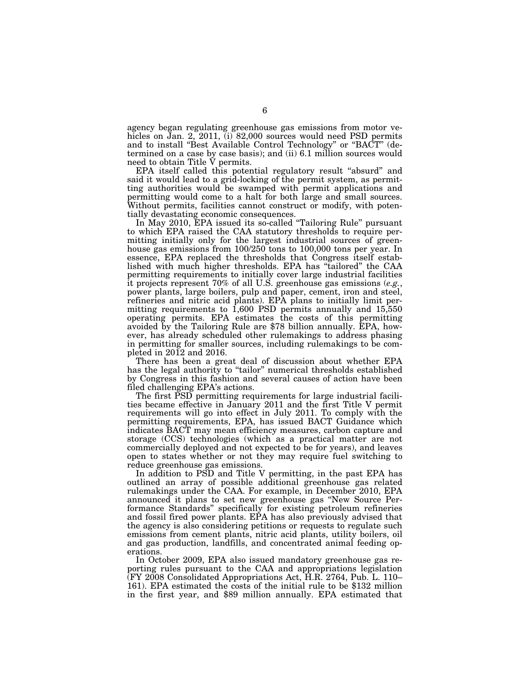agency began regulating greenhouse gas emissions from motor vehicles on Jan. 2, 2011, (i) 82,000 sources would need PSD permits and to install ''Best Available Control Technology'' or ''BACT'' (determined on a case by case basis); and (ii) 6.1 million sources would need to obtain Title V permits.

EPA itself called this potential regulatory result "absurd" and said it would lead to a grid-locking of the permit system, as permitting authorities would be swamped with permit applications and permitting would come to a halt for both large and small sources. Without permits, facilities cannot construct or modify, with potentially devastating economic consequences.

In May 2010, EPA issued its so-called "Tailoring Rule" pursuant to which EPA raised the CAA statutory thresholds to require permitting initially only for the largest industrial sources of greenhouse gas emissions from 100/250 tons to 100,000 tons per year. In essence, EPA replaced the thresholds that Congress itself established with much higher thresholds. EPA has ''tailored'' the CAA permitting requirements to initially cover large industrial facilities it projects represent  $70\%$  of all U.S. greenhouse gas emissions (*e.g.*, it projects represent 70% of all U.S. greenhouse gas emissions (*e.g.*, power plants, large boilers, pulp and paper, cement, iron and steel, refineries and nitric acid plants). EPA plans to initially limit permitting requirements to 1,600 PSD permits annually and 15,550 operating permits. EPA estimates the costs of this permitting avoided by the Tailoring Rule are \$78 billion annually. EPA, however, has already scheduled other rulemakings to address phasing in permitting for smaller sources, including rulemakings to be completed in 2012 and 2016.

There has been a great deal of discussion about whether EPA has the legal authority to "tailor" numerical thresholds established by Congress in this fashion and several causes of action have been filed challenging EPA's actions.

The first PSD permitting requirements for large industrial facilities became effective in January 2011 and the first Title V permit requirements will go into effect in July 2011. To comply with the permitting requirements, EPA, has issued BACT Guidance which indicates BACT may mean efficiency measures, carbon capture and storage (CCS) technologies (which as a practical matter are not commercially deployed and not expected to be for years), and leaves open to states whether or not they may require fuel switching to reduce greenhouse gas emissions.

In addition to PSD and Title V permitting, in the past EPA has outlined an array of possible additional greenhouse gas related rulemakings under the CAA. For example, in December 2010, EPA announced it plans to set new greenhouse gas ''New Source Performance Standards'' specifically for existing petroleum refineries and fossil fired power plants. EPA has also previously advised that the agency is also considering petitions or requests to regulate such emissions from cement plants, nitric acid plants, utility boilers, oil and gas production, landfills, and concentrated animal feeding operations.

In October 2009, EPA also issued mandatory greenhouse gas reporting rules pursuant to the CAA and appropriations legislation (FY 2008 Consolidated Appropriations Act, H.R. 2764, Pub. L. 110– 161). EPA estimated the costs of the initial rule to be \$132 million in the first year, and \$89 million annually. EPA estimated that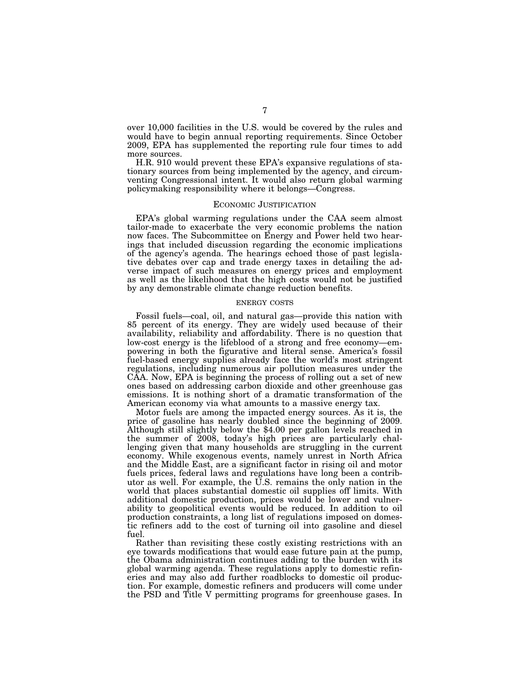over 10,000 facilities in the U.S. would be covered by the rules and would have to begin annual reporting requirements. Since October 2009, EPA has supplemented the reporting rule four times to add more sources.

H.R. 910 would prevent these EPA's expansive regulations of stationary sources from being implemented by the agency, and circumventing Congressional intent. It would also return global warming policymaking responsibility where it belongs—Congress.

#### ECONOMIC JUSTIFICATION

EPA's global warming regulations under the CAA seem almost tailor-made to exacerbate the very economic problems the nation now faces. The Subcommittee on Energy and Power held two hearings that included discussion regarding the economic implications of the agency's agenda. The hearings echoed those of past legislative debates over cap and trade energy taxes in detailing the adverse impact of such measures on energy prices and employment as well as the likelihood that the high costs would not be justified by any demonstrable climate change reduction benefits.

#### ENERGY COSTS

Fossil fuels—coal, oil, and natural gas—provide this nation with 85 percent of its energy. They are widely used because of their availability, reliability and affordability. There is no question that low-cost energy is the lifeblood of a strong and free economy—empowering in both the figurative and literal sense. America's fossil fuel-based energy supplies already face the world's most stringent regulations, including numerous air pollution measures under the CAA. Now, EPA is beginning the process of rolling out a set of new ones based on addressing carbon dioxide and other greenhouse gas emissions. It is nothing short of a dramatic transformation of the American economy via what amounts to a massive energy tax.

Motor fuels are among the impacted energy sources. As it is, the price of gasoline has nearly doubled since the beginning of 2009. Although still slightly below the \$4.00 per gallon levels reached in the summer of 2008, today's high prices are particularly challenging given that many households are struggling in the current economy. While exogenous events, namely unrest in North Africa and the Middle East, are a significant factor in rising oil and motor fuels prices, federal laws and regulations have long been a contributor as well. For example, the U.S. remains the only nation in the world that places substantial domestic oil supplies off limits. With additional domestic production, prices would be lower and vulnerability to geopolitical events would be reduced. In addition to oil production constraints, a long list of regulations imposed on domestic refiners add to the cost of turning oil into gasoline and diesel fuel.

Rather than revisiting these costly existing restrictions with an eye towards modifications that would ease future pain at the pump, the Obama administration continues adding to the burden with its global warming agenda. These regulations apply to domestic refineries and may also add further roadblocks to domestic oil production. For example, domestic refiners and producers will come under the PSD and Title V permitting programs for greenhouse gases. In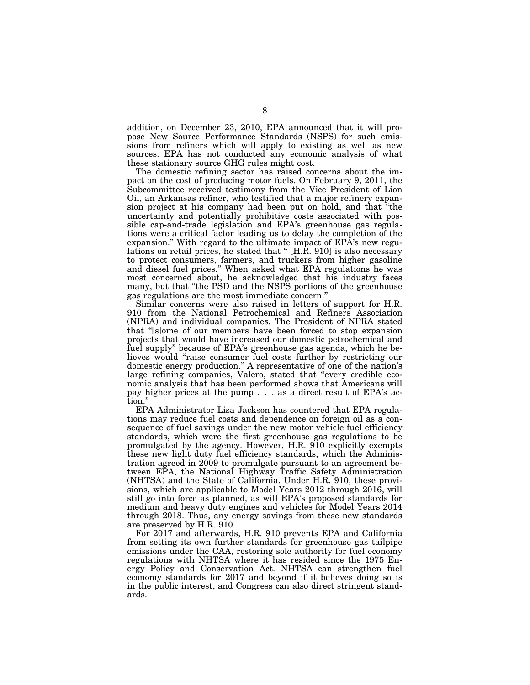addition, on December 23, 2010, EPA announced that it will propose New Source Performance Standards (NSPS) for such emissions from refiners which will apply to existing as well as new sources. EPA has not conducted any economic analysis of what these stationary source GHG rules might cost.

The domestic refining sector has raised concerns about the impact on the cost of producing motor fuels. On February 9, 2011, the Subcommittee received testimony from the Vice President of Lion Oil, an Arkansas refiner, who testified that a major refinery expansion project at his company had been put on hold, and that ''the uncertainty and potentially prohibitive costs associated with possible cap-and-trade legislation and EPA's greenhouse gas regulations were a critical factor leading us to delay the completion of the expansion." With regard to the ultimate impact of EPA's new regulations on retail prices, he stated that '' [H.R. 910] is also necessary to protect consumers, farmers, and truckers from higher gasoline and diesel fuel prices.'' When asked what EPA regulations he was most concerned about, he acknowledged that his industry faces many, but that ''the PSD and the NSPS portions of the greenhouse gas regulations are the most immediate concern.''

Similar concerns were also raised in letters of support for H.R. 910 from the National Petrochemical and Refiners Association (NPRA) and individual companies. The President of NPRA stated that ''[s]ome of our members have been forced to stop expansion projects that would have increased our domestic petrochemical and fuel supply'' because of EPA's greenhouse gas agenda, which he believes would "raise consumer fuel costs further by restricting our domestic energy production.'' A representative of one of the nation's large refining companies, Valero, stated that ''every credible economic analysis that has been performed shows that Americans will pay higher prices at the pump . . . as a direct result of EPA's action.''

EPA Administrator Lisa Jackson has countered that EPA regulations may reduce fuel costs and dependence on foreign oil as a consequence of fuel savings under the new motor vehicle fuel efficiency standards, which were the first greenhouse gas regulations to be promulgated by the agency. However, H.R. 910 explicitly exempts these new light duty fuel efficiency standards, which the Administration agreed in 2009 to promulgate pursuant to an agreement between EPA, the National Highway Traffic Safety Administration (NHTSA) and the State of California. Under H.R. 910, these provisions, which are applicable to Model Years 2012 through 2016, will still go into force as planned, as will EPA's proposed standards for medium and heavy duty engines and vehicles for Model Years 2014 through 2018. Thus, any energy savings from these new standards are preserved by H.R. 910.

For 2017 and afterwards, H.R. 910 prevents EPA and California from setting its own further standards for greenhouse gas tailpipe emissions under the CAA, restoring sole authority for fuel economy regulations with NHTSA where it has resided since the 1975 Energy Policy and Conservation Act. NHTSA can strengthen fuel economy standards for 2017 and beyond if it believes doing so is in the public interest, and Congress can also direct stringent standards.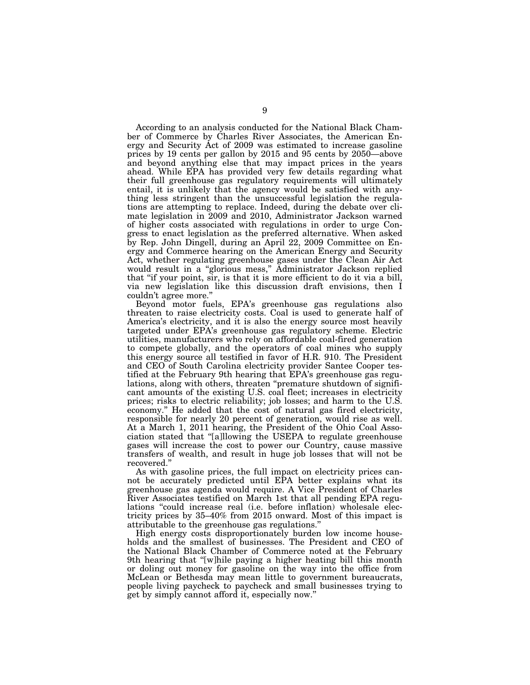According to an analysis conducted for the National Black Chamber of Commerce by Charles River Associates, the American Energy and Security Act of 2009 was estimated to increase gasoline prices by 19 cents per gallon by 2015 and 95 cents by 2050—above and beyond anything else that may impact prices in the years ahead. While EPA has provided very few details regarding what their full greenhouse gas regulatory requirements will ultimately entail, it is unlikely that the agency would be satisfied with anything less stringent than the unsuccessful legislation the regulations are attempting to replace. Indeed, during the debate over climate legislation in 2009 and 2010, Administrator Jackson warned of higher costs associated with regulations in order to urge Congress to enact legislation as the preferred alternative. When asked by Rep. John Dingell, during an April 22, 2009 Committee on Energy and Commerce hearing on the American Energy and Security Act, whether regulating greenhouse gases under the Clean Air Act would result in a ''glorious mess,'' Administrator Jackson replied that ''if your point, sir, is that it is more efficient to do it via a bill, via new legislation like this discussion draft envisions, then I couldn't agree more.''

Beyond motor fuels, EPA's greenhouse gas regulations also threaten to raise electricity costs. Coal is used to generate half of America's electricity, and it is also the energy source most heavily targeted under EPA's greenhouse gas regulatory scheme. Electric utilities, manufacturers who rely on affordable coal-fired generation to compete globally, and the operators of coal mines who supply this energy source all testified in favor of H.R. 910. The President and CEO of South Carolina electricity provider Santee Cooper testified at the February 9th hearing that EPA's greenhouse gas regulations, along with others, threaten ''premature shutdown of significant amounts of the existing U.S. coal fleet; increases in electricity prices; risks to electric reliability; job losses; and harm to the U.S. economy.'' He added that the cost of natural gas fired electricity, responsible for nearly 20 percent of generation, would rise as well. At a March 1, 2011 hearing, the President of the Ohio Coal Association stated that ''[a]llowing the USEPA to regulate greenhouse gases will increase the cost to power our Country, cause massive transfers of wealth, and result in huge job losses that will not be recovered.''

As with gasoline prices, the full impact on electricity prices cannot be accurately predicted until EPA better explains what its greenhouse gas agenda would require. A Vice President of Charles River Associates testified on March 1st that all pending EPA regulations ''could increase real (i.e. before inflation) wholesale electricity prices by 35–40% from 2015 onward. Most of this impact is attributable to the greenhouse gas regulations.''

High energy costs disproportionately burden low income households and the smallest of businesses. The President and CEO of the National Black Chamber of Commerce noted at the February 9th hearing that ''[w]hile paying a higher heating bill this month or doling out money for gasoline on the way into the office from McLean or Bethesda may mean little to government bureaucrats, people living paycheck to paycheck and small businesses trying to get by simply cannot afford it, especially now.''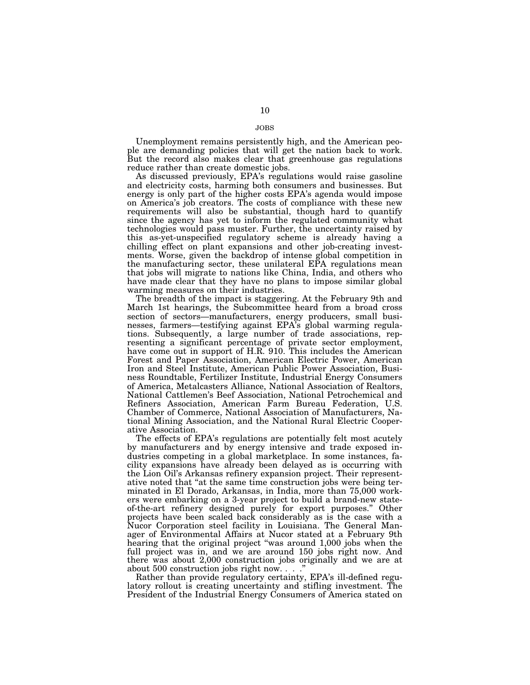Unemployment remains persistently high, and the American people are demanding policies that will get the nation back to work. But the record also makes clear that greenhouse gas regulations reduce rather than create domestic jobs.

As discussed previously, EPA's regulations would raise gasoline and electricity costs, harming both consumers and businesses. But energy is only part of the higher costs EPA's agenda would impose on America's job creators. The costs of compliance with these new requirements will also be substantial, though hard to quantify since the agency has yet to inform the regulated community what technologies would pass muster. Further, the uncertainty raised by this as-yet-unspecified regulatory scheme is already having a chilling effect on plant expansions and other job-creating investments. Worse, given the backdrop of intense global competition in the manufacturing sector, these unilateral EPA regulations mean that jobs will migrate to nations like China, India, and others who have made clear that they have no plans to impose similar global warming measures on their industries.

The breadth of the impact is staggering. At the February 9th and March 1st hearings, the Subcommittee heard from a broad cross section of sectors—manufacturers, energy producers, small businesses, farmers—testifying against EPA's global warming regulations. Subsequently, a large number of trade associations, representing a significant percentage of private sector employment, have come out in support of H.R. 910. This includes the American Forest and Paper Association, American Electric Power, American Iron and Steel Institute, American Public Power Association, Business Roundtable, Fertilizer Institute, Industrial Energy Consumers of America, Metalcasters Alliance, National Association of Realtors, National Cattlemen's Beef Association, National Petrochemical and Refiners Association, American Farm Bureau Federation, U.S. Chamber of Commerce, National Association of Manufacturers, National Mining Association, and the National Rural Electric Cooperative Association.

The effects of EPA's regulations are potentially felt most acutely by manufacturers and by energy intensive and trade exposed industries competing in a global marketplace. In some instances, facility expansions have already been delayed as is occurring with the Lion Oil's Arkansas refinery expansion project. Their representative noted that ''at the same time construction jobs were being terminated in El Dorado, Arkansas, in India, more than 75,000 workers were embarking on a 3-year project to build a brand-new stateof-the-art refinery designed purely for export purposes.'' Other projects have been scaled back considerably as is the case with a Nucor Corporation steel facility in Louisiana. The General Manager of Environmental Affairs at Nucor stated at a February 9th hearing that the original project ''was around 1,000 jobs when the full project was in, and we are around 150 jobs right now. And there was about 2,000 construction jobs originally and we are at about 500 construction jobs right now. . . .''

Rather than provide regulatory certainty, EPA's ill-defined regulatory rollout is creating uncertainty and stifling investment. The President of the Industrial Energy Consumers of America stated on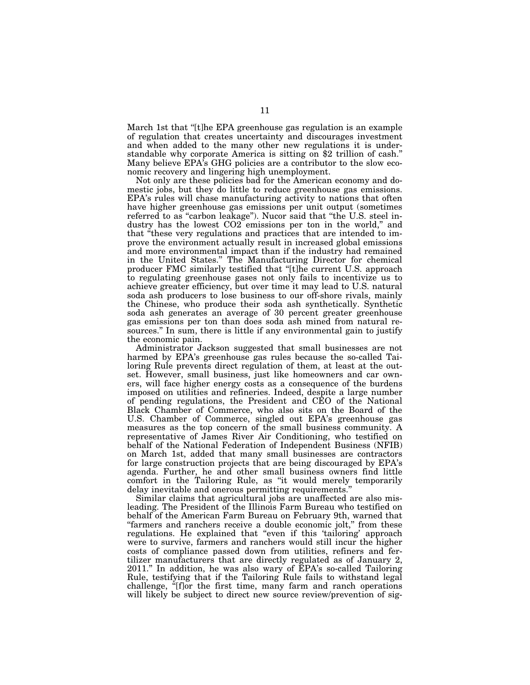March 1st that "[t]he EPA greenhouse gas regulation is an example of regulation that creates uncertainty and discourages investment and when added to the many other new regulations it is understandable why corporate America is sitting on \$2 trillion of cash.'' Many believe EPA's GHG policies are a contributor to the slow economic recovery and lingering high unemployment.

Not only are these policies bad for the American economy and domestic jobs, but they do little to reduce greenhouse gas emissions. EPA's rules will chase manufacturing activity to nations that often have higher greenhouse gas emissions per unit output (sometimes referred to as "carbon leakage"). Nucor said that "the U.S. steel industry has the lowest CO2 emissions per ton in the world," and that ''these very regulations and practices that are intended to improve the environment actually result in increased global emissions and more environmental impact than if the industry had remained in the United States.'' The Manufacturing Director for chemical producer FMC similarly testified that ''[t]he current U.S. approach to regulating greenhouse gases not only fails to incentivize us to achieve greater efficiency, but over time it may lead to U.S. natural soda ash producers to lose business to our off-shore rivals, mainly the Chinese, who produce their soda ash synthetically. Synthetic soda ash generates an average of 30 percent greater greenhouse gas emissions per ton than does soda ash mined from natural resources.'' In sum, there is little if any environmental gain to justify the economic pain.

Administrator Jackson suggested that small businesses are not harmed by EPA's greenhouse gas rules because the so-called Tailoring Rule prevents direct regulation of them, at least at the outset. However, small business, just like homeowners and car owners, will face higher energy costs as a consequence of the burdens imposed on utilities and refineries. Indeed, despite a large number of pending regulations, the President and CEO of the National Black Chamber of Commerce, who also sits on the Board of the U.S. Chamber of Commerce, singled out EPA's greenhouse gas measures as the top concern of the small business community. A representative of James River Air Conditioning, who testified on behalf of the National Federation of Independent Business (NFIB) on March 1st, added that many small businesses are contractors for large construction projects that are being discouraged by EPA's agenda. Further, he and other small business owners find little comfort in the Tailoring Rule, as ''it would merely temporarily delay inevitable and onerous permitting requirements.''

Similar claims that agricultural jobs are unaffected are also misleading. The President of the Illinois Farm Bureau who testified on behalf of the American Farm Bureau on February 9th, warned that "farmers and ranchers receive a double economic jolt," from these regulations. He explained that "even if this 'tailoring' approach were to survive, farmers and ranchers would still incur the higher costs of compliance passed down from utilities, refiners and fertilizer manufacturers that are directly regulated as of January 2, 2011.'' In addition, he was also wary of EPA's so-called Tailoring Rule, testifying that if the Tailoring Rule fails to withstand legal challenge, ''[f]or the first time, many farm and ranch operations will likely be subject to direct new source review/prevention of sig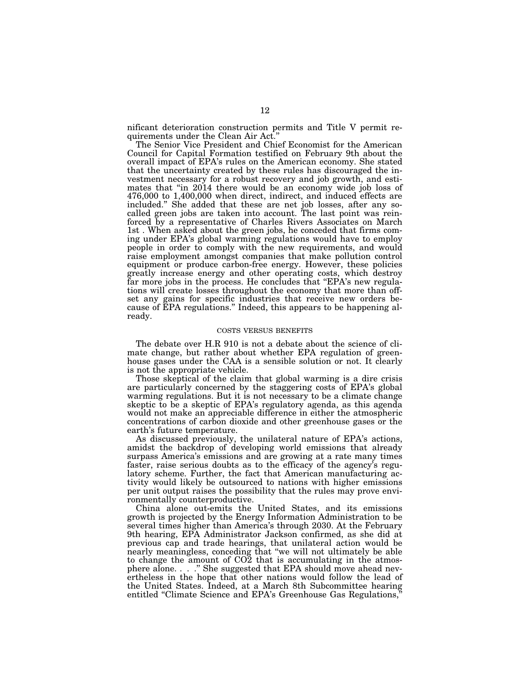nificant deterioration construction permits and Title V permit requirements under the Clean Air Act.''

The Senior Vice President and Chief Economist for the American Council for Capital Formation testified on February 9th about the overall impact of EPA's rules on the American economy. She stated that the uncertainty created by these rules has discouraged the investment necessary for a robust recovery and job growth, and estimates that "in 2014 there would be an economy wide job loss of 476,000 to 1,400,000 when direct, indirect, and induced effects are included.'' She added that these are net job losses, after any socalled green jobs are taken into account. The last point was reinforced by a representative of Charles Rivers Associates on March 1st . When asked about the green jobs, he conceded that firms coming under EPA's global warming regulations would have to employ people in order to comply with the new requirements, and would raise employment amongst companies that make pollution control equipment or produce carbon-free energy. However, these policies greatly increase energy and other operating costs, which destroy far more jobs in the process. He concludes that "EPA's new regulations will create losses throughout the economy that more than offset any gains for specific industries that receive new orders because of EPA regulations.'' Indeed, this appears to be happening already.

#### COSTS VERSUS BENEFITS

The debate over H.R 910 is not a debate about the science of climate change, but rather about whether EPA regulation of greenhouse gases under the CAA is a sensible solution or not. It clearly is not the appropriate vehicle.

Those skeptical of the claim that global warming is a dire crisis are particularly concerned by the staggering costs of EPA's global warming regulations. But it is not necessary to be a climate change skeptic to be a skeptic of EPA's regulatory agenda, as this agenda would not make an appreciable difference in either the atmospheric concentrations of carbon dioxide and other greenhouse gases or the earth's future temperature.

As discussed previously, the unilateral nature of EPA's actions, amidst the backdrop of developing world emissions that already surpass America's emissions and are growing at a rate many times faster, raise serious doubts as to the efficacy of the agency's regulatory scheme. Further, the fact that American manufacturing activity would likely be outsourced to nations with higher emissions per unit output raises the possibility that the rules may prove environmentally counterproductive.

China alone out-emits the United States, and its emissions growth is projected by the Energy Information Administration to be several times higher than America's through 2030. At the February 9th hearing, EPA Administrator Jackson confirmed, as she did at previous cap and trade hearings, that unilateral action would be nearly meaningless, conceding that ''we will not ultimately be able to change the amount of CO2 that is accumulating in the atmosphere alone. . . .'' She suggested that EPA should move ahead nevertheless in the hope that other nations would follow the lead of the United States. Indeed, at a March 8th Subcommittee hearing entitled "Climate Science and EPA's Greenhouse Gas Regulations,"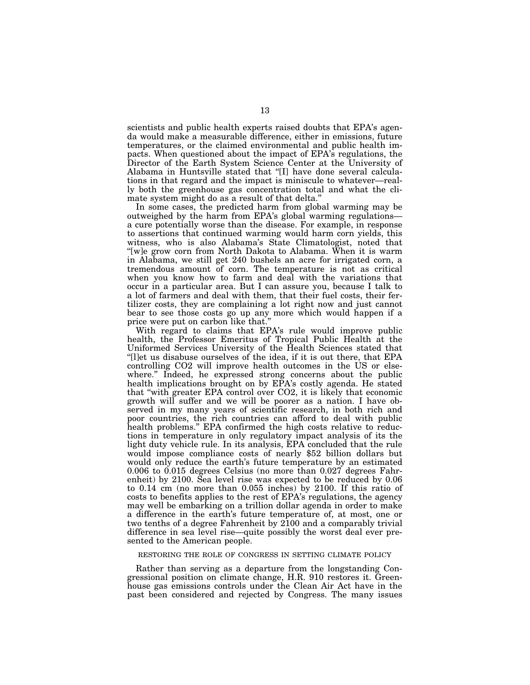scientists and public health experts raised doubts that EPA's agenda would make a measurable difference, either in emissions, future temperatures, or the claimed environmental and public health impacts. When questioned about the impact of EPA's regulations, the Director of the Earth System Science Center at the University of Alabama in Huntsville stated that ''[I] have done several calculations in that regard and the impact is miniscule to whatever—really both the greenhouse gas concentration total and what the climate system might do as a result of that delta.''

In some cases, the predicted harm from global warming may be outweighed by the harm from EPA's global warming regulations a cure potentially worse than the disease. For example, in response to assertions that continued warming would harm corn yields, this witness, who is also Alabama's State Climatologist, noted that "[w]e grow corn from North Dakota to Alabama. When it is warm in Alabama, we still get 240 bushels an acre for irrigated corn, a tremendous amount of corn. The temperature is not as critical when you know how to farm and deal with the variations that occur in a particular area. But I can assure you, because I talk to a lot of farmers and deal with them, that their fuel costs, their fertilizer costs, they are complaining a lot right now and just cannot bear to see those costs go up any more which would happen if a price were put on carbon like that.''

With regard to claims that EPA's rule would improve public health, the Professor Emeritus of Tropical Public Health at the Uniformed Services University of the Health Sciences stated that ''[l]et us disabuse ourselves of the idea, if it is out there, that EPA controlling CO2 will improve health outcomes in the US or elsewhere.'' Indeed, he expressed strong concerns about the public health implications brought on by EPA's costly agenda. He stated that ''with greater EPA control over CO2, it is likely that economic growth will suffer and we will be poorer as a nation. I have observed in my many years of scientific research, in both rich and poor countries, the rich countries can afford to deal with public health problems." EPA confirmed the high costs relative to reductions in temperature in only regulatory impact analysis of its the light duty vehicle rule. In its analysis, EPA concluded that the rule would impose compliance costs of nearly \$52 billion dollars but would only reduce the earth's future temperature by an estimated 0.006 to 0.015 degrees Celsius (no more than 0.027 degrees Fahrenheit) by 2100. Sea level rise was expected to be reduced by 0.06 to 0.14 cm (no more than 0.055 inches) by 2100. If this ratio of costs to benefits applies to the rest of EPA's regulations, the agency may well be embarking on a trillion dollar agenda in order to make a difference in the earth's future temperature of, at most, one or two tenths of a degree Fahrenheit by 2100 and a comparably trivial difference in sea level rise—quite possibly the worst deal ever presented to the American people.

#### RESTORING THE ROLE OF CONGRESS IN SETTING CLIMATE POLICY

Rather than serving as a departure from the longstanding Congressional position on climate change, H.R. 910 restores it. Greenhouse gas emissions controls under the Clean Air Act have in the past been considered and rejected by Congress. The many issues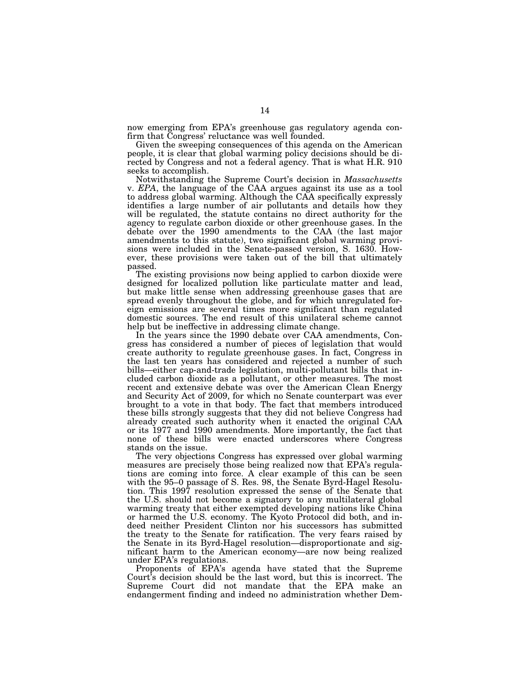now emerging from EPA's greenhouse gas regulatory agenda confirm that Congress' reluctance was well founded.

Given the sweeping consequences of this agenda on the American people, it is clear that global warming policy decisions should be directed by Congress and not a federal agency. That is what H.R. 910 seeks to accomplish.

Notwithstanding the Supreme Court's decision in *Massachusetts*  v. *EPA*, the language of the CAA argues against its use as a tool to address global warming. Although the CAA specifically expressly identifies a large number of air pollutants and details how they will be regulated, the statute contains no direct authority for the agency to regulate carbon dioxide or other greenhouse gases. In the debate over the 1990 amendments to the CAA (the last major amendments to this statute), two significant global warming provisions were included in the Senate-passed version, S. 1630. However, these provisions were taken out of the bill that ultimately passed.

The existing provisions now being applied to carbon dioxide were designed for localized pollution like particulate matter and lead, but make little sense when addressing greenhouse gases that are spread evenly throughout the globe, and for which unregulated foreign emissions are several times more significant than regulated domestic sources. The end result of this unilateral scheme cannot help but be ineffective in addressing climate change.

In the years since the 1990 debate over CAA amendments, Congress has considered a number of pieces of legislation that would create authority to regulate greenhouse gases. In fact, Congress in the last ten years has considered and rejected a number of such bills—either cap-and-trade legislation, multi-pollutant bills that included carbon dioxide as a pollutant, or other measures. The most recent and extensive debate was over the American Clean Energy and Security Act of 2009, for which no Senate counterpart was ever brought to a vote in that body. The fact that members introduced these bills strongly suggests that they did not believe Congress had already created such authority when it enacted the original CAA or its 1977 and 1990 amendments. More importantly, the fact that none of these bills were enacted underscores where Congress stands on the issue.

The very objections Congress has expressed over global warming measures are precisely those being realized now that EPA's regulations are coming into force. A clear example of this can be seen with the 95–0 passage of S. Res. 98, the Senate Byrd-Hagel Resolution. This 1997 resolution expressed the sense of the Senate that the U.S. should not become a signatory to any multilateral global warming treaty that either exempted developing nations like China or harmed the U.S. economy. The Kyoto Protocol did both, and indeed neither President Clinton nor his successors has submitted the treaty to the Senate for ratification. The very fears raised by the Senate in its Byrd-Hagel resolution—disproportionate and significant harm to the American economy—are now being realized under EPA's regulations.

Proponents of EPA's agenda have stated that the Supreme Court's decision should be the last word, but this is incorrect. The Supreme Court did not mandate that the EPA make an endangerment finding and indeed no administration whether Dem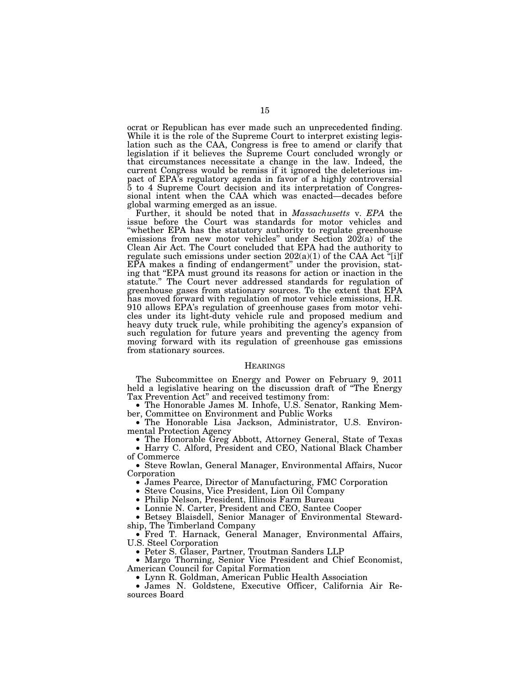ocrat or Republican has ever made such an unprecedented finding. While it is the role of the Supreme Court to interpret existing legislation such as the CAA, Congress is free to amend or clarify that legislation if it believes the Supreme Court concluded wrongly or that circumstances necessitate a change in the law. Indeed, the current Congress would be remiss if it ignored the deleterious impact of EPA's regulatory agenda in favor of a highly controversial 5 to 4 Supreme Court decision and its interpretation of Congressional intent when the CAA which was enacted—decades before global warming emerged as an issue.

Further, it should be noted that in *Massachusetts* v. *EPA* the issue before the Court was standards for motor vehicles and ''whether EPA has the statutory authority to regulate greenhouse emissions from new motor vehicles'' under Section 202(a) of the Clean Air Act. The Court concluded that EPA had the authority to regulate such emissions under section  $202(a)(1)$  of the CAA Act "[i]f EPA makes a finding of endangerment'' under the provision, stating that ''EPA must ground its reasons for action or inaction in the statute.'' The Court never addressed standards for regulation of greenhouse gases from stationary sources. To the extent that EPA has moved forward with regulation of motor vehicle emissions, H.R. 910 allows EPA's regulation of greenhouse gases from motor vehicles under its light-duty vehicle rule and proposed medium and heavy duty truck rule, while prohibiting the agency's expansion of such regulation for future years and preventing the agency from moving forward with its regulation of greenhouse gas emissions from stationary sources.

#### **HEARINGS**

The Subcommittee on Energy and Power on February 9, 2011 held a legislative hearing on the discussion draft of "The Energy<br>Tax Prevention Act" and received testimony from:

 $\bullet$  The Honorable James M. Inhofe, U.S. Senator, Ranking Member, Committee on Environment and Public Works

• The Honorable Lisa Jackson, Administrator, U.S. Environ-<br>mental Protection Agency

• The Honorable Greg Abbott, Attorney General, State of Texas • Harry C. Alford, President and CEO, National Black Chamber of Commerce

• Steve Rowlan, General Manager, Environmental Affairs, Nucor

Corporation<br>
• James Pearce, Director of Manufacturing, FMC Corporation<br>
• Steve Cousins, Vice President, Lion Oil Company<br>
• Philip Nelson, President, Illinois Farm Bureau<br>
• Lonnie N. Carter, President and CEO, Santee Co ship, The Timberland Company

• Fred T. Harnack, General Manager, Environmental Affairs, U.S. Steel Corporation

• Peter S. Glaser, Partner, Troutman Sanders LLP • Margo Thorning, Senior Vice President and Chief Economist, American Council for Capital Formation

• Lynn R. Goldman, American Public Health Association • James N. Goldstene, Executive Officer, California Air Resources Board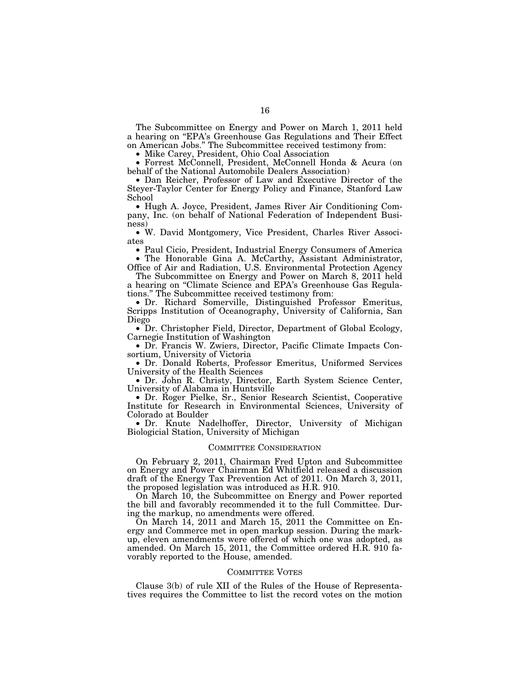The Subcommittee on Energy and Power on March 1, 2011 held a hearing on ''EPA's Greenhouse Gas Regulations and Their Effect on American Jobs.'' The Subcommittee received testimony from:

• Mike Carey, President, Ohio Coal Association

• Forrest McConnell, President, McConnell Honda & Acura (on behalf of the National Automobile Dealers Association)

• Dan Reicher, Professor of Law and Executive Director of the Steyer-Taylor Center for Energy Policy and Finance, Stanford Law School

• Hugh A. Joyce, President, James River Air Conditioning Company, Inc. (on behalf of National Federation of Independent Business)

• W. David Montgomery, Vice President, Charles River Associates

• Paul Cicio, President, Industrial Energy Consumers of America • The Honorable Gina A. McCarthy, Assistant Administrator,

Office of Air and Radiation, U.S. Environmental Protection Agency The Subcommittee on Energy and Power on March 8, 2011 held

a hearing on ''Climate Science and EPA's Greenhouse Gas Regulations.'' The Subcommittee received testimony from:

• Dr. Richard Somerville, Distinguished Professor Emeritus, Scripps Institution of Oceanography, University of California, San Diego

• Dr. Christopher Field, Director, Department of Global Ecology, Carnegie Institution of Washington

• Dr. Francis W. Zwiers, Director, Pacific Climate Impacts Consortium, University of Victoria

• Dr. Donald Roberts, Professor Emeritus, Uniformed Services University of the Health Sciences

• Dr. John R. Christy, Director, Earth System Science Center, University of Alabama in Huntsville

• Dr. Roger Pielke, Sr., Senior Research Scientist, Cooperative Institute for Research in Environmental Sciences, University of Colorado at Boulder

• Dr. Knute Nadelhoffer, Director, University of Michigan Biologicial Station, University of Michigan

#### COMMITTEE CONSIDERATION

On February 2, 2011, Chairman Fred Upton and Subcommittee on Energy and Power Chairman Ed Whitfield released a discussion draft of the Energy Tax Prevention Act of 2011. On March 3, 2011, the proposed legislation was introduced as H.R. 910.

On March 10, the Subcommittee on Energy and Power reported the bill and favorably recommended it to the full Committee. During the markup, no amendments were offered.

On March 14, 2011 and March 15, 2011 the Committee on Energy and Commerce met in open markup session. During the markup, eleven amendments were offered of which one was adopted, as amended. On March 15, 2011, the Committee ordered H.R. 910 favorably reported to the House, amended.

## COMMITTEE VOTES

Clause 3(b) of rule XII of the Rules of the House of Representatives requires the Committee to list the record votes on the motion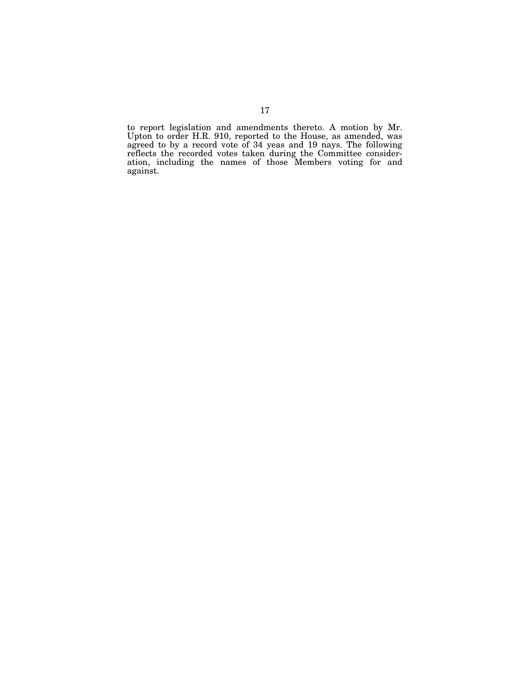to report legislation and amendments thereto. A motion by Mr. Upton to order H.R. 910, reported to the House, as amended, was agreed to by a record vote of 34 yeas and 19 nays. The following reflects the recorded votes taken during the Committee consideration, including the names of those Members voting for and against.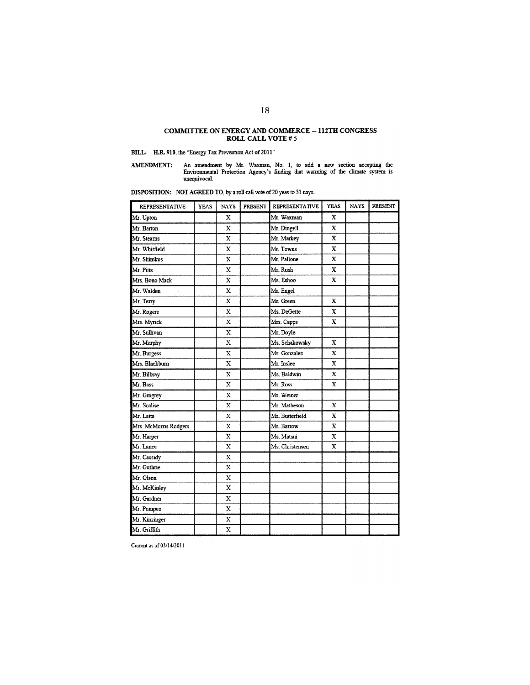# COMMITTEE ON ENERGY AND COMMERCE  $-$  112TH CONGRESS ROLL CALL VOTE  $\#$  5

## BILL: H.R. 910, the "Energy Tax Prevention Act of 2011"

An amendment by Mr. Waxman, No. 1, to add a new section accepting the Environmental Protection Agency's finding that warming of the climate system is unequivocal. AMENDMENT:

DISPOSITION: NOT AGREED TO, by a roll call vote of 20 yeas to 31 nays.

| <b>REPRESENTATIVE</b> | <b>YEAS</b> | <b>NAYS</b>  | PRESENT | <b>REPRESENTATIVE</b> | <b>YEAS</b> | <b>NAYS</b> | PRESENT |
|-----------------------|-------------|--------------|---------|-----------------------|-------------|-------------|---------|
| Mr. Upton             |             | X            |         | Mr. Waxman            | x           |             |         |
| Mr. Barton            |             | X            |         | Mr. Dingell           | X           |             |         |
| Mr. Stearns           |             | $\mathbf x$  |         | Mr. Markey            | X           |             |         |
| Mr. Whitfield         |             | X            |         | Mr. Towns             | X           |             |         |
| Mr. Shimkus           |             | X            |         | Mr. Pallone           | X           |             |         |
| Mr. Pitts             |             | $\mathbf x$  |         | Mr. Rush              | $\mathbf x$ |             |         |
| Mrs. Bono Mack        |             | x            |         | Ms. Eshoo             | x           |             |         |
| Mr. Walden            |             | $\mathbf x$  |         | Mr. Engel             |             |             |         |
| Mr. Terry             |             | $\mathbf x$  |         | Mr. Green             | $\mathbf x$ |             |         |
| Mr. Rogers            |             | $\mathbf x$  |         | Ms. DeGette           | X           |             |         |
| Mrs. Myrick           |             | X            |         | Mrs. Capps            | $\mathbf x$ |             |         |
| Mr. Sullivan          |             | $\mathbf x$  |         | Mr. Doyle             |             |             |         |
| Mr. Murphy            |             | х            |         | Ms. Schakowsky        | x           |             |         |
| Mr. Burgess           |             | $\mathbf x$  |         | Mr. Gonzalez          | $\mathbf x$ |             |         |
| Mrs. Blackburn        |             | $\mathbf x$  |         | Mr. Inslee            | X           |             |         |
| Mr. Bilbray           |             | X            |         | Ms. Baldwin           | $\mathbf x$ |             |         |
| Mr. Bass              |             | $\mathbf x$  |         | Mr Ross               | $\mathbf x$ |             |         |
| Mr. Gingrey           |             | X            |         | Mr. Weiner            |             |             |         |
| Mr. Scalise           |             | $\mathbf x$  |         | Mr. Matheson          | X           |             |         |
| Mr. Latta             |             | X            |         | Mr. Butterfield       | X           |             |         |
| Mrs. McMorris Rodgers |             | $\bf{X}$     |         | Mr. Barrow            | x           |             |         |
| Mr. Harper            |             | $\mathbf{x}$ |         | Ms. Matsui            | $\mathbf x$ |             |         |
| Mr. Lance             |             | $\mathbf x$  |         | Ms. Christensen       | $\mathbf x$ |             |         |
| Mr. Cassidy           |             | $\mathbf x$  |         |                       |             |             |         |
| Mr. Guthrie           |             | $\mathbf x$  |         |                       |             |             |         |
| Mr. Olson             |             | $\mathbf x$  |         |                       |             |             |         |
| Mr. McKinley          |             | $\mathbf x$  |         |                       |             |             |         |
| Mr. Gardner           |             | X            |         |                       |             |             |         |
| Mr. Pompeo            |             | $\bf x$      |         |                       |             |             |         |
| Mr. Kinzinger         |             | x            |         |                       |             |             |         |
| Mr. Griffith          |             | X            |         |                       |             |             |         |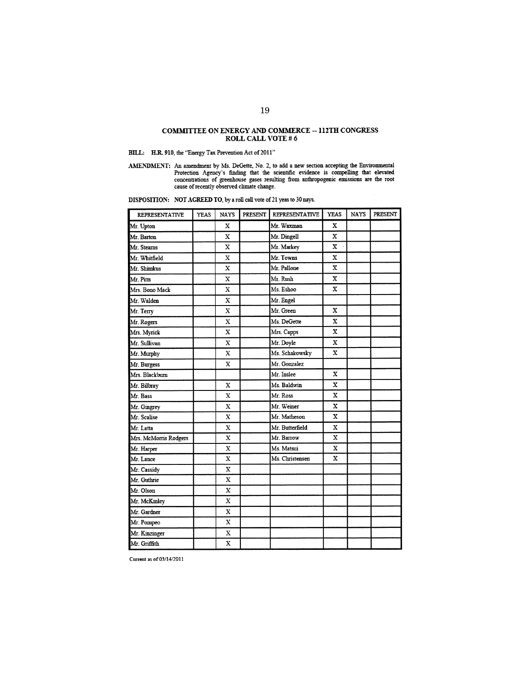# COMMITTEE ON ENERGY AND COMMERCE  $-$  112TH CONGRESS ROLL CALL VOTE #  $6\,$

## BILL: H.R. 910, the "Energy Tax Prevention Act of 2011"

AMENDMENT: An amendment by Ms. DeGette, No. 2, to add a new section accepting the Environmental Protection Agency's finding that the scientific evidence is compelling that elevated concentrations of greenhouse gases result

DISPOSITION: NOT AGREED TO, by a roll call vote of 21 yeas to 30 nays.

| <b>REPRESENTATIVE</b> | <b>YEAS</b> | <b>NAYS</b>             | PRESENT | <b>REPRESENTATIVE</b> | <b>YEAS</b> | <b>NAYS</b> | <b>PRESENT</b> |
|-----------------------|-------------|-------------------------|---------|-----------------------|-------------|-------------|----------------|
| Mr. Upton             |             | X                       |         | Mr. Waxman            | x           |             |                |
| Mr. Barton            |             | $\mathbf x$             |         | Mr. Dingell           | x           |             |                |
| Mr. Stearns           |             | X                       |         | Mr. Markey            | X.          |             |                |
| Mr. Whitfield         |             | x                       |         | Mr. Towns             | X           |             |                |
| Mr. Shimkus           |             | x                       |         | Mr. Pallone           | $\mathbf x$ |             |                |
| Mr. Pitts             |             | X                       |         | Mr. Rush              | $\mathbf x$ |             |                |
| Mrs. Bono Mack        |             | X                       |         | Ms. Eshoo             | x           |             |                |
| Mr. Walden            |             | $\mathbf x$             |         | Mr. Engel             |             |             |                |
| Mr. Terry             |             | X                       |         | Mr. Green             | X           |             |                |
| Mr. Rogers            |             | x                       |         | Ms. DeGette           | x           |             |                |
| Mrs. Myrick           |             | X                       |         | Mrs. Capps            | X           |             |                |
| Mr. Sullivan          |             | $\overline{\mathbf{x}}$ |         | Mr. Doyle             | $\mathbf x$ |             |                |
| Mr. Murphy            |             | X                       |         | Ms. Schakowsky        | $\mathbf x$ |             |                |
| Mr. Burgess           |             | X                       |         | Mr. Gonzalez          |             |             |                |
| Mrs. Blackburn        |             |                         |         | Mr. Inslee            | X           |             |                |
| Mr. Bilbray           |             | X                       |         | Ms. Baldwin           | x           |             |                |
| Mr. Bass              |             | $\mathbf x$             |         | Mr. Ross              | x           |             |                |
| Mr. Gingrey           |             | X                       |         | Mr. Weiner            | X           |             |                |
| Mr. Scalise           |             | X                       |         | Mr. Matheson          | X           |             |                |
| Mr. Latta             |             | X                       |         | Mr. Butterfield       | $\mathbf x$ |             |                |
| Mrs. McMorris Rodgers |             | $\mathbf x$             |         | Mr. Barrow            | X           |             |                |
| Mr. Harper            |             | $\bf{X}$                |         | Ms. Matsui            | X           |             |                |
| Mr. Lance             |             | $\overline{\mathbf{x}}$ |         | Ms. Christensen       | X           |             |                |
| Mr. Cassidy           |             | $\mathbf x$             |         |                       |             |             |                |
| Mr. Guthrie           |             | X                       |         |                       |             |             |                |
| Mr. Olson             |             | $\mathbf x$             |         | i.                    |             |             |                |
| Mr. McKinley          |             | x                       |         |                       |             |             |                |
| Mr. Gardner           |             | X                       |         |                       |             |             |                |
| Mr. Pompeo            |             | $\mathbf x$             |         |                       |             |             |                |
| Mr. Kinzinger         |             | $\mathbf x$             |         |                       |             |             |                |
| Mr. Griffith          |             | X                       |         |                       |             |             |                |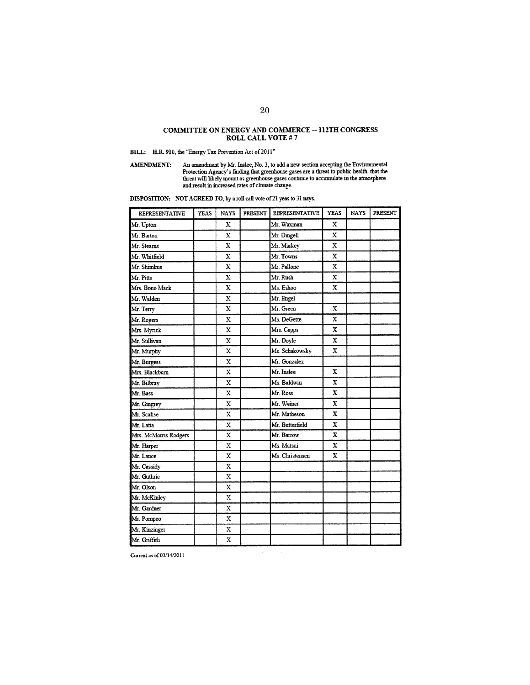#### **COMMITTEE ON ENERGY AND COMMERCE - 112TH CONGRESS** ROLL CALL VOTE #7

## BILL: H.R. 910, the "Energy Tax Prevention Act of  $2011"$

An amendment by Mr. Inslee, No. 3, to add a new section accepting the Environmental Protection Agency's finding that greenhouse gases are a threat to public health, that the threat will likely mount as greenhouse gases co **AMENDMENT:** 

| <b>REPRESENTATIVE</b> | <b>YEAS</b> | <b>NAYS</b> | PRESENT | <b>REPRESENTATIVE</b> | <b>YEAS</b>             | <b>NAYS</b> | PRESENT |
|-----------------------|-------------|-------------|---------|-----------------------|-------------------------|-------------|---------|
| Mr. Upton             |             | x           |         | Mr. Waxman            | $\mathbf X$             |             |         |
| Mr. Barton            |             | $\mathbf x$ |         | Mr. Dingell           | X                       |             |         |
| Mr. Stearns           |             | X           |         | Mr. Markey            | X                       |             |         |
| Mr. Whitfield         |             | X           |         | Mr. Towns             | $\mathbf x$             |             |         |
| Mr. Shimkus           |             | x           |         | Mr. Pallone           | $\mathbf x$             |             |         |
| Mr. Pitts             |             | X           |         | Mr. Rush              | $\mathbf{x}$            |             |         |
| Mrs. Bono Mack        |             | X           |         | Ms. Eshoo             | $\mathbf x$             |             |         |
| Mr. Walden            |             | X           |         | Mr. Engel             |                         |             |         |
| Mr. Terry             |             | $\mathbf x$ |         | Mr. Green             | $\mathbf x$             |             |         |
| Mr. Rogers            |             | $\mathbf x$ |         | Ms. DeGette           | $\overline{\mathbf{x}}$ |             |         |
| Mrs. Myrick           |             | x           |         | Mrs. Capps            | x                       |             |         |
| Mr. Sullivan          |             | $\mathbf x$ |         | Mr. Doyle             | $\mathbf x$             |             |         |
| Mr. Murphy            |             | $\mathbf x$ |         | Ms. Schakowsky        | $\mathbf x$             |             |         |
| Mr. Burgess           |             | X           |         | Mr. Gonzalez          |                         |             |         |
| Mrs. Blackburn        |             | $\mathbf x$ |         | Mr. Inslee            | X                       |             |         |
| Mr. Bilbray           |             | $\mathbf x$ |         | Ms. Baldwin           | X                       |             |         |
| Mr. Bass              |             | X           |         | Mr. Ross              | $\mathbf x$             |             |         |
| Mr. Gingrey           |             | $\mathbf x$ |         | Mr. Weiner            | x                       |             |         |
| Mr. Scalise           |             | x           |         | Mr. Matheson          | $\mathbf x$             |             |         |
| Mr. Latta             |             | $\mathbf x$ |         | Mr. Butterfield       | $\bf{X}$                |             |         |
| Mrs. McMorns Rodgers  |             | $\mathbf x$ |         | Mr. Barrow            | x                       |             |         |
| Mr. Harper            |             | $\mathbf x$ |         | Ms. Matsui            | X                       |             |         |
| Mr. Lance             |             | $\mathbf x$ |         | Ms. Christensen       | $\mathbf{x}$            |             |         |
| Mr. Cassidy           |             | X           |         |                       |                         |             |         |
| Mr. Guthrie           |             | x           |         |                       |                         |             |         |
| Mr. Olson             |             | X           |         |                       |                         |             |         |
| Mr. McKinley          |             | X           |         |                       |                         |             |         |
| Mr. Gardner           |             | $\mathbf x$ |         |                       |                         |             |         |
| Mr. Pompeo            |             | $\mathbf x$ |         |                       |                         |             |         |
| Mr. Kinzinger         |             | X           |         |                       |                         |             |         |
| Mr. Griffith          |             | X           |         |                       |                         |             |         |

DISPOSITION: NOT AGREED TO, by a roll call vote of 21 yeas to 31 nays.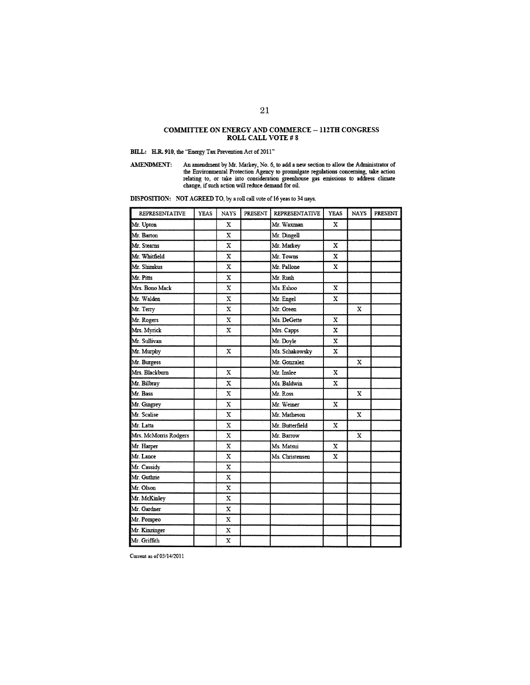## COMMITTEE ON ENERGY AND COMMERCE  $-$  112TH CONGRESS ROLL CALL VOTE #  $8\,$

BILL: H.R. 910, the "Energy Tax Prevention Act of 2011"

An amendment by Mr. Markey, No. 6, to add a new section to allow the Administrator of the Environmental Protection Agency to promulgate regulations concerning, take action relating to, or take into consideration greenhouse **AMENDMENT:** 

| <b>REPRESENTATIVE</b> | <b>YEAS</b> | <b>NAYS</b> | PRESENT | <b>REPRESENTATIVE</b> | <b>YEAS</b> | <b>NAYS</b> | PRESENT |
|-----------------------|-------------|-------------|---------|-----------------------|-------------|-------------|---------|
| Mr. Upton             |             | X           |         | Mr. Waxman            | X           |             |         |
| Mr. Barton            |             | $\mathbf x$ |         | Mr. Dingell           |             |             |         |
| Mr. Stearns           |             | $\mathbf x$ |         | Mr. Markey            | X           |             |         |
| Mr. Whitfield         |             | X           |         | Mr. Towns             | X           |             |         |
| Mr. Shimkus           |             | X           |         | Mr. Pallone           | X           |             |         |
| Mr. Pitts             |             | $\mathbf x$ |         | Mr. Rush              |             |             |         |
| Mrs. Bono Mack        |             | X           |         | Ms. Eshoo             | X           |             |         |
| Mr. Walden            |             | X           |         | Mr. Engel             | $\mathbf X$ |             |         |
| Mr. Terry             |             | $\bf x$     |         | Mr. Green             |             | $\mathbf x$ |         |
| Mr. Rogers            |             | $\mathbf x$ |         | Ms. DeGette           | X           |             |         |
| Mrs. Myrick           |             | $\mathbf x$ |         | Mrs. Capps            | X           |             |         |
| Mr. Sullivan          |             |             |         | Mr. Doyle             | X           |             |         |
| Mr. Murphy            |             | $\mathbf x$ |         | Ms. Schakowsky        | X           |             |         |
| Mr. Burgess           |             |             |         | Mr. Gonzalez          |             | X           |         |
| Mrs. Blackburn        |             | $\mathbf x$ |         | Mr. Inslee            | $\mathbf x$ |             |         |
| Mr. Bilbray           |             | X           |         | Ms. Baldwin           | X           |             |         |
| Mr. Bass              |             | $\bf x$     |         | Mr. Ross              |             | $\mathbf x$ |         |
| Mr. Gingrey           |             | X           |         | Mr. Weiner            | $\mathbf x$ |             |         |
| Mr. Scalise           |             | X           |         | Mr. Matheson          |             | X           |         |
| Mr. Latta             |             | $\mathbf x$ |         | Mr. Butterfield       | $\mathbf x$ |             |         |
| Mrs. McMorris Rodgers |             | $\mathbf x$ |         | Mr. Barrow            |             | $\mathbf x$ |         |
| Mr. Harper            |             | X           |         | Ms. Matsui            | $\mathbf X$ |             |         |
| Mr. Lance             |             | x           |         | Ms. Christensen       | $\mathbf x$ |             |         |
| Mr. Cassidy           |             | x           |         |                       |             |             |         |
| Mr. Guthrie           |             | X           |         |                       |             |             |         |
| Mr. Olson             |             | $\mathbf x$ |         |                       |             |             |         |
| Mr. McKinley          |             | X           |         |                       |             |             |         |
| Mr. Gardner           |             | x           |         |                       |             |             |         |
| Mr. Pompeo            |             | X           |         |                       |             |             |         |
| Mr. Kinzinger         |             | x           |         |                       |             |             |         |
| Mr. Griffith          |             | X           |         |                       |             |             |         |

DISPOSITION: NOT AGREED TO, by a roll call vote of 16 yeas to 34 nays.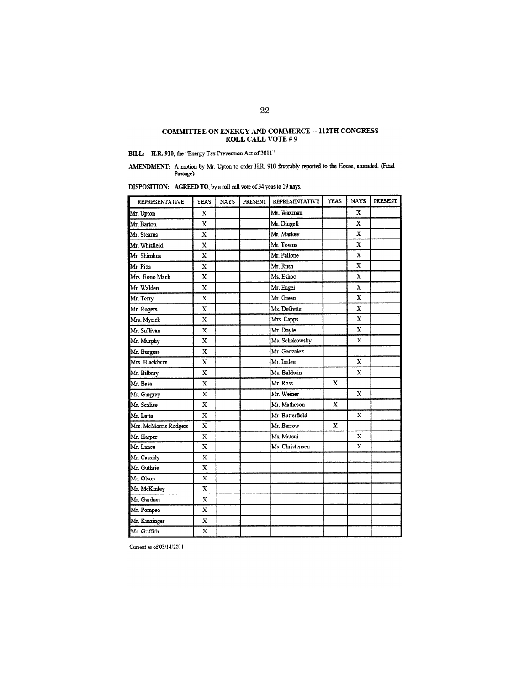## COMMITTEE ON ENERGY AND COMMERCE  $-$  112TH CONGRESS ROLL CALL VOTE  $\#$  9

## BILL: H.R. 910, the "Energy Tax Prevention Act of 2011"

 ${\bf AMENDMENT:} \begin{tabular}{l} A meton by Mr. Upton to order H.R. 910 favorably reported to the House, amended. (Final Passage) \end{tabular}$ 

DISPOSITION: AGREED TO, by a roll call vote of 34 yeas to 19 nays.

| <b>REPRESENTATIVE</b> | <b>YEAS</b> | <b>NAYS</b> | PRESENT | <b>REPRESENTATIVE</b> | <b>YEAS</b> | <b>NAYS</b>  | <b>PRESENT</b> |
|-----------------------|-------------|-------------|---------|-----------------------|-------------|--------------|----------------|
| Mr. Upton             | x           |             |         | Mr. Waxman            |             | $\mathbf{x}$ |                |
| Mr. Barton            | X           |             |         | Mr. Dingell           |             | X            |                |
| Mr. Stearns           | X           |             |         | Mr. Markey            |             | x            |                |
| Mr. Whitfield         | $\mathbf x$ |             |         | Mr. Towns             |             | X            |                |
| Mr. Shimkus           | X           |             |         | Mr. Pallone           |             | X            |                |
| Mr. Pitts             | $\mathbf X$ |             |         | Mr. Rush              |             | X            |                |
| Mrs. Bono Mack        | $\bf{X}$    |             |         | Ms. Eshoo             |             | X            |                |
| Mr. Walden            | X           |             |         | Mr. Engel             |             | x            |                |
| Mr. Terry             | $\bf{X}$    |             |         | Mr. Green             |             | X            |                |
| Mr. Rogers            | $\mathbf x$ |             |         | Ms. DeGette           |             | $\mathbf x$  |                |
| Mrs. Myrick           | x           |             |         | Mrs. Capps            |             | x            |                |
| Mr. Sullivan          | $\mathbf x$ |             |         | Mr. Doyle             |             | $\mathbf x$  |                |
| Mr. Murphy            | $\mathbf x$ |             |         | Ms. Schakowsky        |             | $\mathbf x$  |                |
| Mr. Burgess           | $\mathbf x$ |             |         | Mr. Gonzalez          |             |              |                |
| Mrs. Blackburn        | $\mathbf x$ |             |         | Mr. Inslee            |             | x            |                |
| Mr. Bilbray           | X           |             |         | Ms. Baldwin           |             | x            |                |
| Mr. Bass              | $\mathbf X$ |             |         | Mr. Ross              | x           |              |                |
| Mr. Gingrey           | $\mathbf x$ |             |         | Mr. Weiner            |             | $\mathbf{x}$ |                |
| Mr. Scalise           | $\mathbf x$ |             |         | Mr. Matheson          | x           |              |                |
| Mr. Latta             | $\mathbf X$ |             |         | Mr. Butterfield       |             | $\mathbf x$  |                |
| Mrs. McMorris Rodgers | $\mathbf x$ |             |         | Mr. Barrow            | x           |              |                |
| Mr. Harper            | X           |             |         | Ms. Matsui            |             | x            |                |
| Mr. Lance             | X           |             |         | Ms. Christensen       |             | X.           |                |
| Mr. Cassidy           | $\mathbf x$ |             |         |                       |             |              |                |
| Mr. Guthrie           | $\mathbf x$ |             |         |                       |             |              |                |
| Mr. Olson             | $\mathbf x$ |             |         |                       |             |              |                |
| Mr. McKinley          | $\mathbf x$ |             |         |                       |             |              |                |
| Mr. Gardner           | X           |             |         |                       |             |              |                |
| Mr. Pompeo            | $\mathbf X$ |             |         |                       |             |              |                |
| Mr. Kinzinger         | $\mathbf X$ |             |         |                       |             |              |                |
| Mr. Griffith          | $\bf x$     |             |         |                       |             |              |                |

Current as of  $03\slash 14\slash 2011$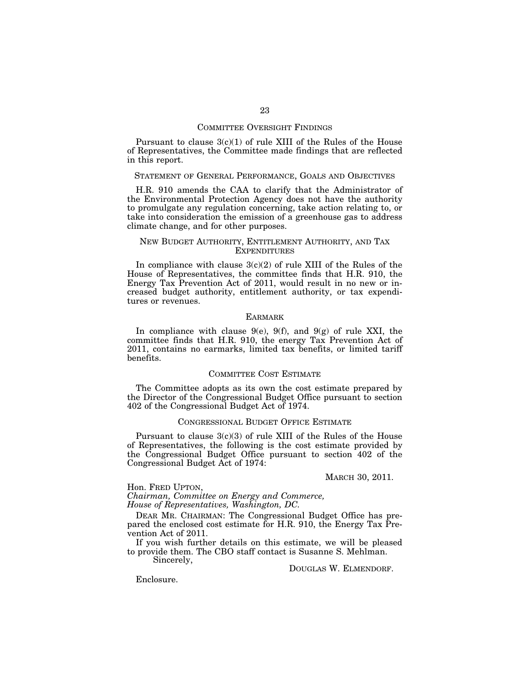#### COMMITTEE OVERSIGHT FINDINGS

Pursuant to clause  $3(c)(1)$  of rule XIII of the Rules of the House of Representatives, the Committee made findings that are reflected in this report.

#### STATEMENT OF GENERAL PERFORMANCE, GOALS AND OBJECTIVES

H.R. 910 amends the CAA to clarify that the Administrator of the Environmental Protection Agency does not have the authority to promulgate any regulation concerning, take action relating to, or take into consideration the emission of a greenhouse gas to address climate change, and for other purposes.

#### NEW BUDGET AUTHORITY, ENTITLEMENT AUTHORITY, AND TAX **EXPENDITURES**

In compliance with clause  $3(c)(2)$  of rule XIII of the Rules of the House of Representatives, the committee finds that H.R. 910, the Energy Tax Prevention Act of 2011, would result in no new or increased budget authority, entitlement authority, or tax expenditures or revenues.

#### EARMARK

In compliance with clause  $9(e)$ ,  $9(f)$ , and  $9(g)$  of rule XXI, the committee finds that H.R. 910, the energy Tax Prevention Act of 2011, contains no earmarks, limited tax benefits, or limited tariff benefits.

#### COMMITTEE COST ESTIMATE

The Committee adopts as its own the cost estimate prepared by the Director of the Congressional Budget Office pursuant to section 402 of the Congressional Budget Act of 1974.

#### CONGRESSIONAL BUDGET OFFICE ESTIMATE

Pursuant to clause  $3(c)(3)$  of rule XIII of the Rules of the House of Representatives, the following is the cost estimate provided by the Congressional Budget Office pursuant to section 402 of the Congressional Budget Act of 1974:

MARCH 30, 2011.

Hon. FRED UPTON,

*Chairman, Committee on Energy and Commerce,* 

*House of Representatives, Washington, DC.* 

DEAR MR. CHAIRMAN: The Congressional Budget Office has prepared the enclosed cost estimate for H.R. 910, the Energy Tax Prevention Act of 2011.

If you wish further details on this estimate, we will be pleased to provide them. The CBO staff contact is Susanne S. Mehlman.

Sincerely,

DOUGLAS W. ELMENDORF.

Enclosure.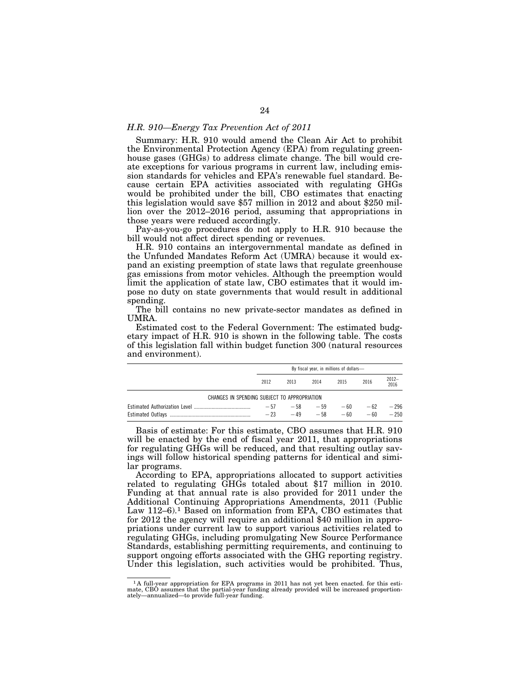#### *H.R. 910—Energy Tax Prevention Act of 2011*

Summary: H.R. 910 would amend the Clean Air Act to prohibit the Environmental Protection Agency (EPA) from regulating greenhouse gases (GHGs) to address climate change. The bill would create exceptions for various programs in current law, including emission standards for vehicles and EPA's renewable fuel standard. Because certain EPA activities associated with regulating GHGs would be prohibited under the bill, CBO estimates that enacting this legislation would save \$57 million in 2012 and about \$250 million over the 2012–2016 period, assuming that appropriations in those years were reduced accordingly.

Pay-as-you-go procedures do not apply to H.R. 910 because the bill would not affect direct spending or revenues.

H.R. 910 contains an intergovernmental mandate as defined in the Unfunded Mandates Reform Act (UMRA) because it would expand an existing preemption of state laws that regulate greenhouse gas emissions from motor vehicles. Although the preemption would limit the application of state law, CBO estimates that it would impose no duty on state governments that would result in additional spending.

The bill contains no new private-sector mandates as defined in UMRA.

Estimated cost to the Federal Government: The estimated budgetary impact of H.R. 910 is shown in the following table. The costs of this legislation fall within budget function 300 (natural resources and environment).

|                                              | By fiscal year, in millions of dollars- |                |                |                |                |                  |  |
|----------------------------------------------|-----------------------------------------|----------------|----------------|----------------|----------------|------------------|--|
|                                              | 2012                                    | 2013           | 2014           | 2015           | 2016           | 2012-<br>2016    |  |
| CHANGES IN SPENDING SUBJECT TO APPROPRIATION |                                         |                |                |                |                |                  |  |
|                                              | $-57$<br>$-23$                          | $-58$<br>$-49$ | $-59$<br>$-58$ | $-60$<br>$-60$ | $-62$<br>$-60$ | $-296$<br>$-250$ |  |

Basis of estimate: For this estimate, CBO assumes that H.R. 910 will be enacted by the end of fiscal year 2011, that appropriations for regulating GHGs will be reduced, and that resulting outlay savings will follow historical spending patterns for identical and similar programs.

According to EPA, appropriations allocated to support activities related to regulating GHGs totaled about \$17 million in 2010. Funding at that annual rate is also provided for 2011 under the Additional Continuing Appropriations Amendments, 2011 (Public Law 112–6).<sup>1</sup> Based on information from EPA, CBO estimates that for 2012 the agency will require an additional \$40 million in appropriations under current law to support various activities related to regulating GHGs, including promulgating New Source Performance Standards, establishing permitting requirements, and continuing to support ongoing efforts associated with the GHG reporting registry. Under this legislation, such activities would be prohibited. Thus,

 $1\text{A full-year approximation}$  for EPA programs in 2011 has not yet been enacted. for this estimate, CBO assumes that the partial-year funding already provided will be increased proportionately—annualized—to provide full-year funding.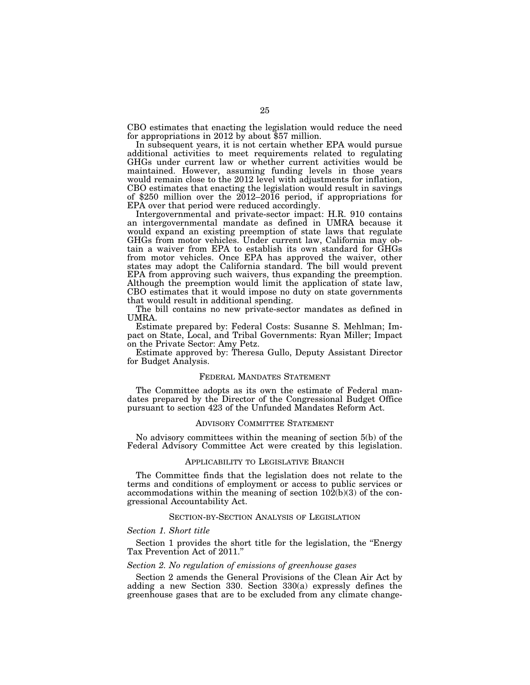CBO estimates that enacting the legislation would reduce the need for appropriations in 2012 by about \$57 million.

In subsequent years, it is not certain whether EPA would pursue additional activities to meet requirements related to regulating GHGs under current law or whether current activities would be maintained. However, assuming funding levels in those years would remain close to the 2012 level with adjustments for inflation, CBO estimates that enacting the legislation would result in savings of \$250 million over the 2012–2016 period, if appropriations for EPA over that period were reduced accordingly.

Intergovernmental and private-sector impact: H.R. 910 contains an intergovernmental mandate as defined in UMRA because it would expand an existing preemption of state laws that regulate GHGs from motor vehicles. Under current law, California may obtain a waiver from EPA to establish its own standard for GHGs from motor vehicles. Once EPA has approved the waiver, other states may adopt the California standard. The bill would prevent EPA from approving such waivers, thus expanding the preemption. Although the preemption would limit the application of state law, CBO estimates that it would impose no duty on state governments that would result in additional spending.

The bill contains no new private-sector mandates as defined in UMRA.

Estimate prepared by: Federal Costs: Susanne S. Mehlman; Impact on State, Local, and Tribal Governments: Ryan Miller; Impact on the Private Sector: Amy Petz.

Estimate approved by: Theresa Gullo, Deputy Assistant Director for Budget Analysis.

#### FEDERAL MANDATES STATEMENT

The Committee adopts as its own the estimate of Federal mandates prepared by the Director of the Congressional Budget Office pursuant to section 423 of the Unfunded Mandates Reform Act.

#### ADVISORY COMMITTEE STATEMENT

No advisory committees within the meaning of section 5(b) of the Federal Advisory Committee Act were created by this legislation.

#### APPLICABILITY TO LEGISLATIVE BRANCH

The Committee finds that the legislation does not relate to the terms and conditions of employment or access to public services or accommodations within the meaning of section  $102(b)(3)$  of the congressional Accountability Act.

#### SECTION-BY-SECTION ANALYSIS OF LEGISLATION

#### *Section 1. Short title*

Section 1 provides the short title for the legislation, the "Energy Tax Prevention Act of 2011.''

#### *Section 2. No regulation of emissions of greenhouse gases*

Section 2 amends the General Provisions of the Clean Air Act by adding a new Section 330. Section 330(a) expressly defines the greenhouse gases that are to be excluded from any climate change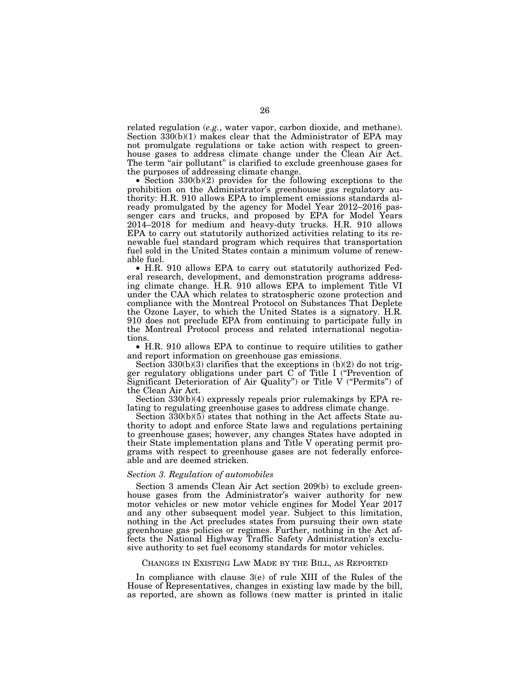related regulation (*e.g.*, water vapor, carbon dioxide, and methane). Section 330(b)(1) makes clear that the Administrator of EPA may not promulgate regulations or take action with respect to greenhouse gases to address climate change under the Clean Air Act. The term "air pollutant" is clarified to exclude greenhouse gases for the purposes of addressing climate change.

• Section 330(b)(2) provides for the following exceptions to the prohibition on the Administrator's greenhouse gas regulatory authority: H.R. 910 allows EPA to implement emissions standards already promulgated by the agency for Model Year 2012–2016 passenger cars and trucks, and proposed by EPA for Model Years 2014–2018 for medium and heavy-duty trucks. H.R. 910 allows EPA to carry out statutorily authorized activities relating to its renewable fuel standard program which requires that transportation fuel sold in the United States contain a minimum volume of renewable fuel.

• H.R. 910 allows EPA to carry out statutorily authorized Federal research, development, and demonstration programs addressing climate change. H.R. 910 allows EPA to implement Title VI under the CAA which relates to stratospheric ozone protection and compliance with the Montreal Protocol on Substances That Deplete the Ozone Layer, to which the United States is a signatory. H.R. 910 does not preclude EPA from continuing to participate fully in the Montreal Protocol process and related international negotiations.

• H.R. 910 allows EPA to continue to require utilities to gather and report information on greenhouse gas emissions.

Section  $330(b)(3)$  clarifies that the exceptions in  $(b)(2)$  do not trigger regulatory obligations under part C of Title I (''Prevention of Significant Deterioration of Air Quality'') or Title V (''Permits'') of the Clean Air Act.

Section 330(b)(4) expressly repeals prior rulemakings by EPA relating to regulating greenhouse gases to address climate change.

Section 330(b)(5) states that nothing in the Act affects State authority to adopt and enforce State laws and regulations pertaining to greenhouse gases; however, any changes States have adopted in their State implementation plans and Title V operating permit programs with respect to greenhouse gases are not federally enforceable and are deemed stricken.

#### *Section 3. Regulation of automobiles*

Section 3 amends Clean Air Act section 209(b) to exclude greenhouse gases from the Administrator's waiver authority for new motor vehicles or new motor vehicle engines for Model Year 2017 and any other subsequent model year. Subject to this limitation, nothing in the Act precludes states from pursuing their own state greenhouse gas policies or regimes. Further, nothing in the Act affects the National Highway Traffic Safety Administration's exclusive authority to set fuel economy standards for motor vehicles.

#### CHANGES IN EXISTING LAW MADE BY THE BILL, AS REPORTED

In compliance with clause 3(e) of rule XIII of the Rules of the House of Representatives, changes in existing law made by the bill, as reported, are shown as follows (new matter is printed in italic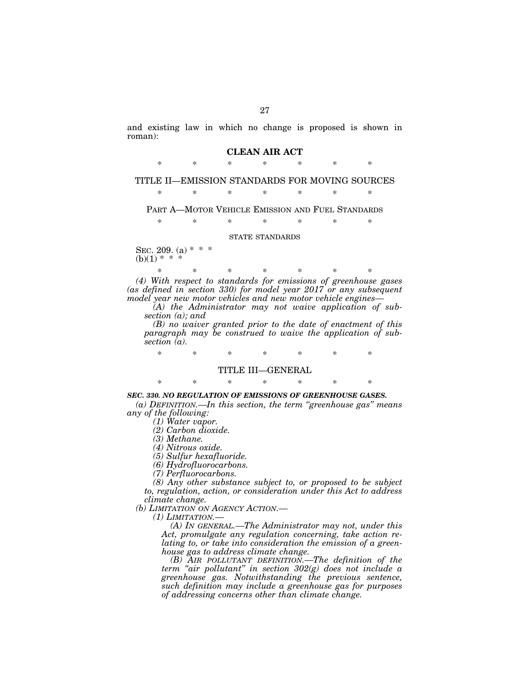and existing law in which no change is proposed is shown in roman):

#### **CLEAN AIR ACT**

\* \* \* \* \* \* \*

## TITLE II—EMISSION STANDARDS FOR MOVING SOURCES

\* \* \* \* \* \* \*

PART A—MOTOR VEHICLE EMISSION AND FUEL STANDARDS

\* \* \* \* \* \* \*

#### STATE STANDARDS

SEC. 209. (a) \* \*  $(b)(1) * *$ 

\* \* \* \* \* \* \* *(4) With respect to standards for emissions of greenhouse gases (as defined in section 330) for model year 2017 or any subsequent model year new motor vehicles and new motor vehicle engines—* 

*(A) the Administrator may not waive application of subsection (a); and* 

*(B) no waiver granted prior to the date of enactment of this paragraph may be construed to waive the application of subsection (a).* 

\* \* \* \* \* \* \*

## TITLE III—GENERAL

## \* \* \* \* \* \* \* *SEC. 330. NO REGULATION OF EMISSIONS OF GREENHOUSE GASES.*

*(a) DEFINITION.—In this section, the term ''greenhouse gas'' means any of the following:* 

*(1) Water vapor.* 

*(2) Carbon dioxide.* 

*(3) Methane.* 

*(4) Nitrous oxide.* 

*(5) Sulfur hexafluoride.* 

*(6) Hydrofluorocarbons.* 

*(7) Perfluorocarbons.* 

*(8) Any other substance subject to, or proposed to be subject to, regulation, action, or consideration under this Act to address climate change.* 

*(b) LIMITATION ON AGENCY ACTION.—* 

*(1) LIMITATION.—* 

*(A) IN GENERAL.—The Administrator may not, under this Act, promulgate any regulation concerning, take action relating to, or take into consideration the emission of a greenhouse gas to address climate change.* 

*(B) AIR POLLUTANT DEFINITION.—The definition of the term ''air pollutant'' in section 302(g) does not include a greenhouse gas. Notwithstanding the previous sentence, such definition may include a greenhouse gas for purposes of addressing concerns other than climate change.*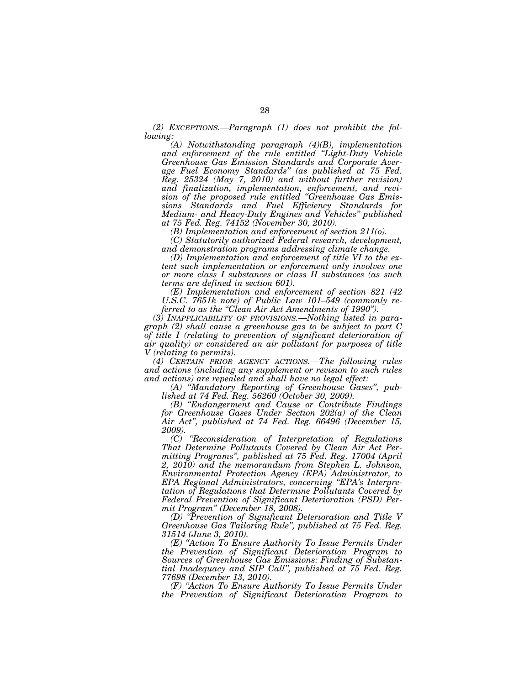*(2) EXCEPTIONS.—Paragraph (1) does not prohibit the following:* 

*(A) Notwithstanding paragraph (4)(B), implementation and enforcement of the rule entitled ''Light-Duty Vehicle Greenhouse Gas Emission Standards and Corporate Average Fuel Economy Standards'' (as published at 75 Fed. Reg. 25324 (May 7, 2010) and without further revision) and finalization, implementation, enforcement, and revision of the proposed rule entitled ''Greenhouse Gas Emissions Standards and Fuel Efficiency Standards for Medium- and Heavy-Duty Engines and Vehicles'' published at 75 Fed. Reg. 74152 (November 30, 2010).* 

*(B) Implementation and enforcement of section 211(o).* 

*(C) Statutorily authorized Federal research, development, and demonstration programs addressing climate change.* 

*(D) Implementation and enforcement of title VI to the extent such implementation or enforcement only involves one or more class I substances or class II substances (as such terms are defined in section 601).* 

*(E) Implementation and enforcement of section 821 (42 U.S.C. 7651k note) of Public Law 101–549 (commonly referred to as the ''Clean Air Act Amendments of 1990'').* 

*(3) INAPPLICABILITY OF PROVISIONS.—Nothing listed in paragraph (2) shall cause a greenhouse gas to be subject to part C of title I (relating to prevention of significant deterioration of air quality) or considered an air pollutant for purposes of title V (relating to permits).* 

*(4) CERTAIN PRIOR AGENCY ACTIONS.—The following rules and actions (including any supplement or revision to such rules and actions) are repealed and shall have no legal effect:* 

*(A) ''Mandatory Reporting of Greenhouse Gases'', published at 74 Fed. Reg. 56260 (October 30, 2009).* 

*(B) ''Endangerment and Cause or Contribute Findings for Greenhouse Gases Under Section 202(a) of the Clean Air Act'', published at 74 Fed. Reg. 66496 (December 15, 2009).* 

*(C) ''Reconsideration of Interpretation of Regulations That Determine Pollutants Covered by Clean Air Act Permitting Programs'', published at 75 Fed. Reg. 17004 (April 2, 2010) and the memorandum from Stephen L. Johnson, Environmental Protection Agency (EPA) Administrator, to EPA Regional Administrators, concerning ''EPA's Interpretation of Regulations that Determine Pollutants Covered by Federal Prevention of Significant Deterioration (PSD) Permit Program'' (December 18, 2008).* 

*(D) ''Prevention of Significant Deterioration and Title V Greenhouse Gas Tailoring Rule'', published at 75 Fed. Reg. 31514 (June 3, 2010).* 

*(E) ''Action To Ensure Authority To Issue Permits Under the Prevention of Significant Deterioration Program to Sources of Greenhouse Gas Emissions: Finding of Substantial Inadequacy and SIP Call'', published at 75 Fed. Reg. 77698 (December 13, 2010).* 

*(F) ''Action To Ensure Authority To Issue Permits Under the Prevention of Significant Deterioration Program to*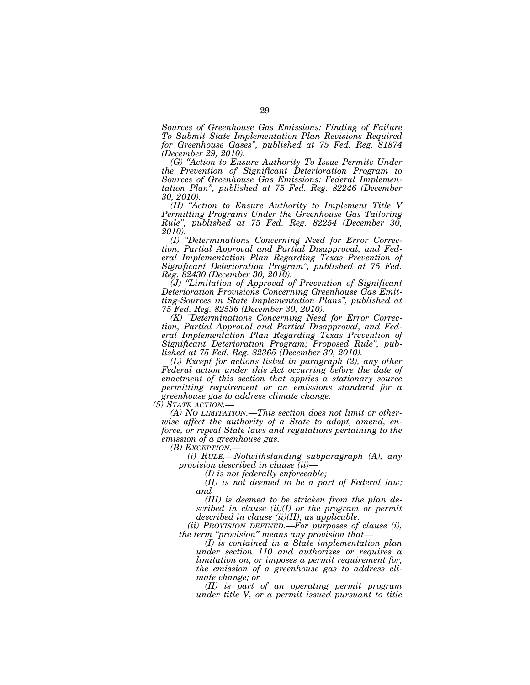*Sources of Greenhouse Gas Emissions: Finding of Failure To Submit State Implementation Plan Revisions Required for Greenhouse Gases'', published at 75 Fed. Reg. 81874 (December 29, 2010).* 

*(G) ''Action to Ensure Authority To Issue Permits Under the Prevention of Significant Deterioration Program to Sources of Greenhouse Gas Emissions: Federal Implementation Plan'', published at 75 Fed. Reg. 82246 (December 30, 2010).* 

*(H) ''Action to Ensure Authority to Implement Title V Permitting Programs Under the Greenhouse Gas Tailoring Rule'', published at 75 Fed. Reg. 82254 (December 30, 2010).* 

*(I) ''Determinations Concerning Need for Error Correction, Partial Approval and Partial Disapproval, and Federal Implementation Plan Regarding Texas Prevention of Significant Deterioration Program'', published at 75 Fed. Reg. 82430 (December 30, 2010).* 

*(J) ''Limitation of Approval of Prevention of Significant Deterioration Provisions Concerning Greenhouse Gas Emitting-Sources in State Implementation Plans'', published at 75 Fed. Reg. 82536 (December 30, 2010).* 

*(K) ''Determinations Concerning Need for Error Correction, Partial Approval and Partial Disapproval, and Federal Implementation Plan Regarding Texas Prevention of Significant Deterioration Program; Proposed Rule'', published at 75 Fed. Reg. 82365 (December 30, 2010).* 

*(L) Except for actions listed in paragraph (2), any other Federal action under this Act occurring before the date of enactment of this section that applies a stationary source permitting requirement or an emissions standard for a greenhouse gas to address climate change.* 

(A) NO LIMITATION.—This section does not limit or other*wise affect the authority of a State to adopt, amend, enforce, or repeal State laws and regulations pertaining to the emission of a greenhouse gas.* 

*(i) RULE.—Notwithstanding subparagraph (A), any provision described in clause (ii)—* 

*(I) is not federally enforceable;* 

*(II) is not deemed to be a part of Federal law; and* 

*(III) is deemed to be stricken from the plan described in clause (ii)(I) or the program or permit described in clause (ii)(II), as applicable.* 

*(ii) PROVISION DEFINED.—For purposes of clause (i), the term ''provision'' means any provision that—* 

*(I) is contained in a State implementation plan under section 110 and authorizes or requires a limitation on, or imposes a permit requirement for, the emission of a greenhouse gas to address climate change; or* 

*(II) is part of an operating permit program under title V, or a permit issued pursuant to title*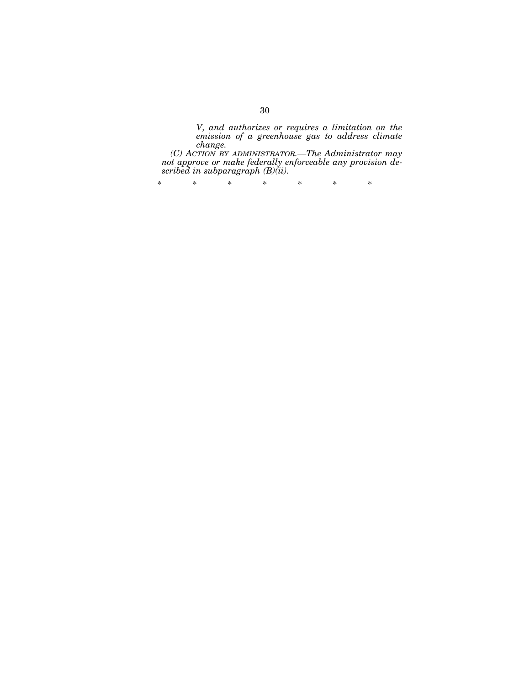*V, and authorizes or requires a limitation on the emission of a greenhouse gas to address climate change.* 

*(C) ACTION BY ADMINISTRATOR.—The Administrator may not approve or make federally enforceable any provision described in subparagraph (B)(ii).* 

\* \* \* \* \* \* \*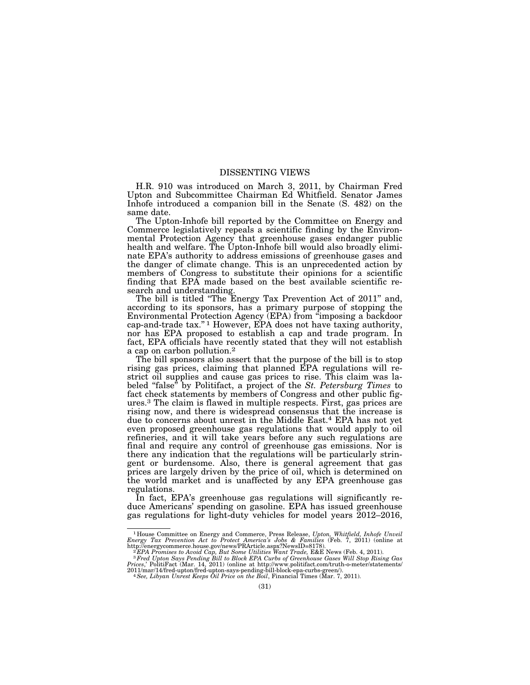## DISSENTING VIEWS

H.R. 910 was introduced on March 3, 2011, by Chairman Fred Upton and Subcommittee Chairman Ed Whitfield. Senator James Inhofe introduced a companion bill in the Senate (S. 482) on the same date.

The Upton-Inhofe bill reported by the Committee on Energy and Commerce legislatively repeals a scientific finding by the Environmental Protection Agency that greenhouse gases endanger public health and welfare. The Upton-Inhofe bill would also broadly eliminate EPA's authority to address emissions of greenhouse gases and the danger of climate change. This is an unprecedented action by members of Congress to substitute their opinions for a scientific finding that EPA made based on the best available scientific research and understanding.

The bill is titled "The Energy Tax Prevention Act of 2011" and, according to its sponsors, has a primary purpose of stopping the Environmental Protection Agency (EPA) from ''imposing a backdoor cap-and-trade tax.'' 1 However, EPA does not have taxing authority, nor has EPA proposed to establish a cap and trade program. In fact, EPA officials have recently stated that they will not establish a cap on carbon pollution.2

The bill sponsors also assert that the purpose of the bill is to stop rising gas prices, claiming that planned EPA regulations will restrict oil supplies and cause gas prices to rise. This claim was labeled ''false'' by Politifact, a project of the *St. Petersburg Times* to fact check statements by members of Congress and other public figures.3 The claim is flawed in multiple respects. First, gas prices are rising now, and there is widespread consensus that the increase is due to concerns about unrest in the Middle East.4 EPA has not yet even proposed greenhouse gas regulations that would apply to oil refineries, and it will take years before any such regulations are final and require any control of greenhouse gas emissions. Nor is there any indication that the regulations will be particularly stringent or burdensome. Also, there is general agreement that gas prices are largely driven by the price of oil, which is determined on the world market and is unaffected by any EPA greenhouse gas regulations.

In fact, EPA's greenhouse gas regulations will significantly reduce Americans' spending on gasoline. EPA has issued greenhouse gas regulations for light-duty vehicles for model years 2012–2016,

<sup>1</sup> House Committee on Energy and Commerce, Press Release, *Upton, Whitfield, Inhofe Unveil Energy Tax Prevention Act to Protect America's Jobs & Families* (Feb. 7, 2011) (online at

http://energycommerce.house.gov/news/PRArticle.aspx?NewsID=8178).<br><sup>2</sup>EPA Promises to Avoid Cap, But Some Utilities Want Trade, E&E News (Feb. 4, 2011).<br><sup>3</sup> Fred Upton Says Pending Bill to Block EPA Curbs of Greenhouse Gase 2011/mar/14/fred-upton/fred-upton-says-pending-bill-block-epa-curbs-green/). 4*See, Libyan Unrest Keeps Oil Price on the Boil*, Financial Times (Mar. 7, 2011).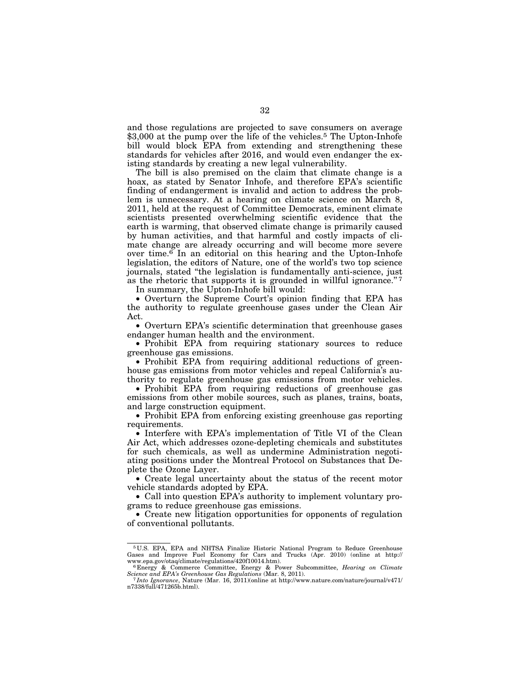and those regulations are projected to save consumers on average \$3,000 at the pump over the life of the vehicles.<sup>5</sup> The Upton-Inhofe bill would block EPA from extending and strengthening these standards for vehicles after 2016, and would even endanger the existing standards by creating a new legal vulnerability.

The bill is also premised on the claim that climate change is a hoax, as stated by Senator Inhofe, and therefore EPA's scientific finding of endangerment is invalid and action to address the problem is unnecessary. At a hearing on climate science on March 8, 2011, held at the request of Committee Democrats, eminent climate scientists presented overwhelming scientific evidence that the earth is warming, that observed climate change is primarily caused by human activities, and that harmful and costly impacts of climate change are already occurring and will become more severe over time.<sup> $\overline{6}$ </sup> In an editorial on this hearing and the Upton-Inhofe legislation, the editors of Nature, one of the world's two top science journals, stated ''the legislation is fundamentally anti-science, just as the rhetoric that supports it is grounded in willful ignorance."<sup>7</sup>

In summary, the Upton-Inhofe bill would:

• Overturn the Supreme Court's opinion finding that EPA has the authority to regulate greenhouse gases under the Clean Air Act.

• Overturn EPA's scientific determination that greenhouse gases endanger human health and the environment.

• Prohibit EPA from requiring stationary sources to reduce greenhouse gas emissions.

• Prohibit EPA from requiring additional reductions of greenhouse gas emissions from motor vehicles and repeal California's authority to regulate greenhouse gas emissions from motor vehicles.

• Prohibit EPA from requiring reductions of greenhouse gas emissions from other mobile sources, such as planes, trains, boats, and large construction equipment.

• Prohibit EPA from enforcing existing greenhouse gas reporting requirements.

• Interfere with EPA's implementation of Title VI of the Clean Air Act, which addresses ozone-depleting chemicals and substitutes for such chemicals, as well as undermine Administration negotiating positions under the Montreal Protocol on Substances that Deplete the Ozone Layer.

• Create legal uncertainty about the status of the recent motor vehicle standards adopted by EPA.

• Call into question EPA's authority to implement voluntary programs to reduce greenhouse gas emissions.

• Create new litigation opportunities for opponents of regulation of conventional pollutants.

<sup>5</sup> U.S. EPA, EPA and NHTSA Finalize Historic National Program to Reduce Greenhouse Gases and Improve Fuel Economy for Cars and Trucks (Apr. 2010) (online at http://<br>www.epa.gov/otaq/climate/regulations/420f10014.htm).

ww.epa.gov/otaq/climate/regulations/and Energy & Commerce Committee, Energy & Power Subcommittee, *Hearing on Climate* Science and EPA's Greenhouse Gas Regulations (Mar. 8, 2011).

*Science and EPA's Greenhouse Gas Regulations* (Mar. 8, 2011). 7 *Into Ignorance*, Nature (Mar. 16, 2011)(online at http://www.nature.com/nature/journal/v471/ n7338/full/471265b.html).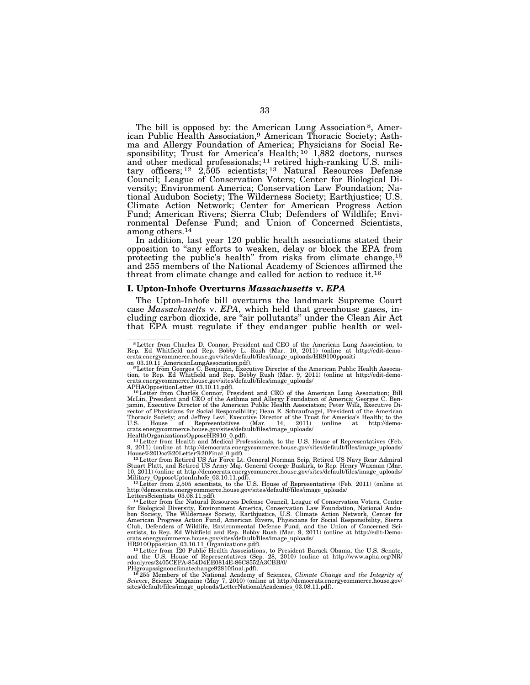The bill is opposed by: the American Lung Association 8, American Public Health Association,9 American Thoracic Society; Asthma and Allergy Foundation of America; Physicians for Social Responsibility; Trust for America's Health;  $10^{6}$  1,882 doctors, nurses and other medical professionals; 11 retired high-ranking U.S. military officers; 12 2,505 scientists; 13 Natural Resources Defense Council; League of Conservation Voters; Center for Biological Diversity; Environment America; Conservation Law Foundation; National Audubon Society; The Wilderness Society; Earthjustice; U.S. Climate Action Network; Center for American Progress Action Fund; American Rivers; Sierra Club; Defenders of Wildlife; Environmental Defense Fund; and Union of Concerned Scientists, among others.14

In addition, last year 120 public health associations stated their opposition to ''any efforts to weaken, delay or block the EPA from protecting the public's health'' from risks from climate change,15 and 255 members of the National Academy of Sciences affirmed the threat from climate change and called for action to reduce it.16

#### **I. Upton-Inhofe Overturns** *Massachusetts* **v.** *EPA*

The Upton-Inhofe bill overturns the landmark Supreme Court case *Massachusetts* v. *EPA*, which held that greenhouse gases, including carbon dioxide, are ''air pollutants'' under the Clean Air Act that EPA must regulate if they endanger public health or wel-

HealthOrganizationsOpposeHR910\_0.pdf). 11Letter from Health and Medical Professionals, to the U.S. House of Representatives (Feb. 9, 2011) (online at http://democrats.energycommerce.house.gov/sites/default/files/image\_uploads/

House%20Doc%20Letter%20Final\_0.pdf).<br>12 Letter from Retired US Air Force Lt. General Norman Seip, Retired US Navy Rear Admiral<br>Stuart Platt, and Retired US Army Maj. General George Buskirk, to Rep. Henry Waxman (Mar. 10, 2011) (online at http://democrats.energycommerce.house.gov/sites/default/files/image\_uploads/<br>Military OpposeUptonInhofe 03.10.11.pdf).<br><sup>13</sup>Letter from 2,505 scientists, to the U.S. House of Representatives (Feb. 2011)

http://democrats.energycommerce.house.gov/sites/defaultf/files/image\_uploads/

<sup>14</sup> Letter from the Natural Resources Defense Council, League of Conservation Voters, Center for Biological Diversity, Environment America, Conservation Law Foundation, National Audu-<br>bon Society, The Wilderness Society, Earthjustice, U.S. Climate Action Network, Center for<br>American Progress Action Fund, American Club, Defenders of Wildlife, Environmental Defense Fund, and the Union of Concerned Sci-<br>entists, to Rep. Ed Whitfield and Rep. Bobby Rush (Mar. 9, 2011) (online at http://edit-Demo-<br>crats.energycommerce.house.gov/sites/de

HR910Opposition 03.10.11\_Organizations.pdf).<br><sup>15</sup>Letter from T20 Public Health Associations, to President Barack Obama, the U.S. Senate,<br>and the U.S. House of Representatives (Sep. 28, 2010) (online at http://www.apha.org

*Science*, Science Magazine (May 7, 2010) (online at http://democrats.energycommerce.house.gov/ sites/default/files/image\_uploads/LetterNationalAcademies\_03.08.11.pdf).

<sup>8</sup>Letter from Charles D. Connor, President and CEO of the American Lung Association, to Rep. Ed Whitfield and Rep. Bobby L. Rush (Mar. 10, 2011) (online at http://edit-demo-

crats.energycommerce.house.gov/sites/default/files/image\_uploads/HR9100pposition<br><sup>9</sup> Letter from Georges C. Benjamin, Executive Director of the American Public Health Associa-<br><sup>9</sup> Letter from Georges C. Benjamin, Executive

APHAOppositionLetter 03.10.11.pdf).<br><sup>10</sup>Letter from Charles Connor, President and CEO of the American Lung Association; Bill<br>McLin, President and CEO of the American Superiorian of America; Georges C. Ben-<br>Igamin, Executiv Thoracic Society; and Jeffrey Levi, Executive Director of the Trust for America's Health; to the<br>U.S. House of Representatives (Mar. 14, 2011) (online at http://demo-<br>crats.energycommerce.hou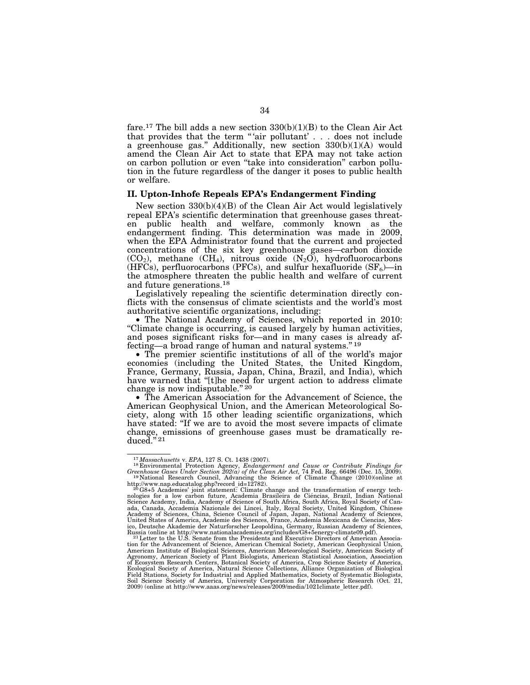fare.<sup>17</sup> The bill adds a new section  $330(b)(1)(B)$  to the Clean Air Act that provides that the term "'air pollutant' . . . does not include a greenhouse gas.'' Additionally, new section 330(b)(1)(A) would amend the Clean Air Act to state that EPA may not take action on carbon pollution or even ''take into consideration'' carbon pollution in the future regardless of the danger it poses to public health or welfare.

#### **II. Upton-Inhofe Repeals EPA's Endangerment Finding**

New section 330(b)(4)(B) of the Clean Air Act would legislatively repeal EPA's scientific determination that greenhouse gases threaten public health and welfare, commonly known as the endangerment finding. This determination was made in 2009, when the EPA Administrator found that the current and projected concentrations of the six key greenhouse gases—carbon dioxide  $(CO_2)$ , methane  $(CH_4)$ , nitrous oxide  $(N_2O)$ , hydrofluorocarbons (HFCs), perfluorocarbons (PFCs), and sulfur hexafluoride  $(SF_6)$ —in the atmosphere threaten the public health and welfare of current and future generations.18

Legislatively repealing the scientific determination directly conflicts with the consensus of climate scientists and the world's most authoritative scientific organizations, including:

• The National Academy of Sciences, which reported in 2010: ''Climate change is occurring, is caused largely by human activities, and poses significant risks for—and in many cases is already affecting—a broad range of human and natural systems."<sup>19</sup>

• The premier scientific institutions of all of the world's major economies (including the United States, the United Kingdom, France, Germany, Russia, Japan, China, Brazil, and India), which have warned that "[t]he need for urgent action to address climate change is now indisputable."<sup>20</sup>

• The American Association for the Advancement of Science, the American Geophysical Union, and the American Meteorological Society, along with 15 other leading scientific organizations, which have stated: ''If we are to avoid the most severe impacts of climate change, emissions of greenhouse gases must be dramatically re- ${\rm duced.}''{}^{21}$ 

<sup>17</sup>*Massachusetts* v. *EPA*, 127 S. Ct. 1438 (2007). 18 Environmental Protection Agency, *Endangerment and Cause or Contribute Findings for Greenhouse Gases Under Section 202(a) of the Clean Air Act, 74 Fed. Reg. 66496 (Dec. 15, 2009).* <sup>19</sup> National Research Council, Advancing the Science of Climate Change (2010)(online at

http://www.nap.educatalog.php?record\_id=12782).<br><sup>20</sup>G8+5 Academies' joint statement: Climate change and the transformation of energy tech-<sup>20</sup>G8+5 Academies' joint statement. Climate change and the transformation of energy technologies for a low carbon future, Academia Brasileira de Ciéncias, Brazil, Indian National Science Academy, India, Academy of Science of South Africa, South Africa, Royal Society of Canada, Canada, Accademia Nazionale dei Lincei, Italy, Royal Society, United Kingdom, Chinese<br>Academy of Sciences, China, Science Council of Japan, Japan, National Academy of Sciences,<br>United States of America, Academie des S ico, Deutsche Akademie der Naturforscher Leopoldina, Germany, Russian Academy of Sciences,<br>Russia (online at http://www.nationalacademies.org/includes/G8+5energy-climate09.pdf).<br><sup>21</sup>Letter to the U.S. Senate from the Presi

tion for the Advancement of Science, American Chemical Society, American Geophysical Union, American Institute of Biological Sciences, American Meteorological Society, American Society of Agronomy, American Society of Plant Biologists, American Statistical Association, Association of Ecosystem Research Centers, Botanical Society of America, Crop Science Society of America, Ecological Society of America, Natural Science Collections, Alliance Organization of Biological Field Stations, Society for Industrial and Applied Mathematics, Society of Systematic Biologi Soil Science Society of America, University Corporation for Atmospheric Research (Oct. 21, 2009) (online at http://www.aaas.org/news/releases/2009/media/1021climate\_letter.pdf).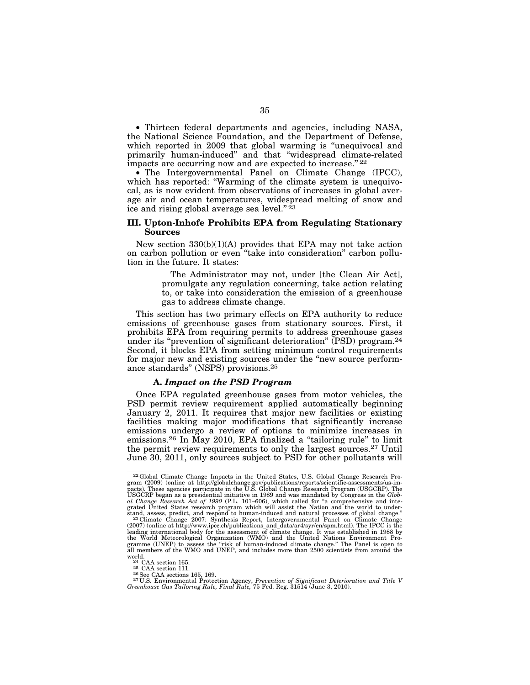• Thirteen federal departments and agencies, including NASA, the National Science Foundation, and the Department of Defense, which reported in 2009 that global warming is "unequivocal and primarily human-induced'' and that ''widespread climate-related impacts are occurring now and are expected to increase."<sup>22</sup>

• The Intergovernmental Panel on Climate Change (IPCC), which has reported: "Warming of the climate system is unequivocal, as is now evident from observations of increases in global average air and ocean temperatures, widespread melting of snow and ice and rising global average sea level." $2^{\frac{2}{3}}$ 

#### **III. Upton-Inhofe Prohibits EPA from Regulating Stationary Sources**

New section  $330(b)(1)(A)$  provides that EPA may not take action on carbon pollution or even ''take into consideration'' carbon pollution in the future. It states:

> The Administrator may not, under [the Clean Air Act], promulgate any regulation concerning, take action relating to, or take into consideration the emission of a greenhouse gas to address climate change.

This section has two primary effects on EPA authority to reduce emissions of greenhouse gases from stationary sources. First, it prohibits EPA from requiring permits to address greenhouse gases under its "prevention of significant deterioration" (PSD) program.<sup>24</sup> Second, it blocks EPA from setting minimum control requirements for major new and existing sources under the "new source performance standards'' (NSPS) provisions.25

#### **A.** *Impact on the PSD Program*

Once EPA regulated greenhouse gases from motor vehicles, the PSD permit review requirement applied automatically beginning January 2, 2011. It requires that major new facilities or existing facilities making major modifications that significantly increase emissions undergo a review of options to minimize increases in emissions.26 In May 2010, EPA finalized a ''tailoring rule'' to limit the permit review requirements to only the largest sources.27 Until June 30, 2011, only sources subject to PSD for other pollutants will

<sup>&</sup>lt;sup>22</sup>Global Climate Change Impacts in the United States, U.S. Global Change Research Program (2009) (online at http://globalchange.gov/publications/reports/scientific-assessments/us-im-<br>pacts). These agencies participate i *al Change Research Act of 1990* (P.L. 101–606), which called for ''a comprehensive and inte-grated United States research program which will assist the Nation and the world to understand, assess, predict, and respond to human-induced and natural processes of global change.<sup>"</sup><br><sup>23</sup> Climate Change 2007: Synthesis Report, Intergovernmental Panel on Climate Change<sup>"</sup>

<sup>(2007) (</sup>online at http://www.ipcc.ch/publications\_and\_data/ar4/syr/en/spm.html). The IPCC is the leading international body for the assessment of climate change. It was established in 1988 by the World Meteorological Organization (WMO) and the United Nations Environment Pro-gramme (UNEP) to assess the ''risk of human-induced climate change.'' The Panel is open to gramme (UNEP) to assess the "risk of human-induced climate change." The Panel is open to all members of the WMO and UNEP, and includes more than 2500 scientists from around the world.<br>  $^{24}$  CAA section 165.<br>  $^{25}$  CAA

world.<br><sup>24</sup> CAA section 165.<br><sup>25</sup> CAA section 111.<br><sup>27</sup>U.S. Environmental Protection Agency, *Prevention of Significant Deterioration and Title V*<br><sup>27 U.S. Environmental Protection Agency, *Prevention of Significant Deteri</sup>*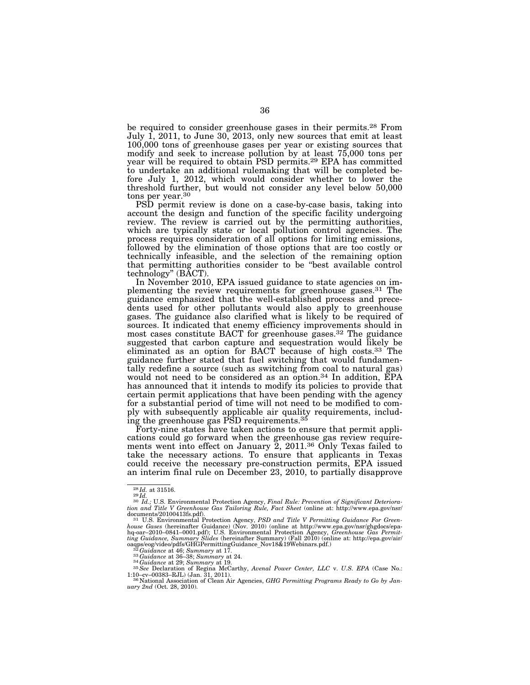be required to consider greenhouse gases in their permits.28 From July 1, 2011, to June 30, 2013, only new sources that emit at least 100,000 tons of greenhouse gases per year or existing sources that modify and seek to increase pollution by at least 75,000 tons per year will be required to obtain PSD permits.<sup>29</sup> EPA has committed to undertake an additional rulemaking that will be completed before July 1, 2012, which would consider whether to lower the threshold further, but would not consider any level below 50,000 tons per year.30

PSD permit review is done on a case-by-case basis, taking into account the design and function of the specific facility undergoing review. The review is carried out by the permitting authorities, which are typically state or local pollution control agencies. The process requires consideration of all options for limiting emissions, followed by the elimination of those options that are too costly or technically infeasible, and the selection of the remaining option that permitting authorities consider to be ''best available control technology'' (BACT).

In November 2010, EPA issued guidance to state agencies on implementing the review requirements for greenhouse gases.31 The guidance emphasized that the well-established process and precedents used for other pollutants would also apply to greenhouse gases. The guidance also clarified what is likely to be required of sources. It indicated that enemy efficiency improvements should in most cases constitute BACT for greenhouse gases.32 The guidance suggested that carbon capture and sequestration would likely be eliminated as an option for BACT because of high costs.33 The guidance further stated that fuel switching that would fundamentally redefine a source (such as switching from coal to natural gas) would not need to be considered as an option.<sup>34</sup> In addition, EPA has announced that it intends to modify its policies to provide that certain permit applications that have been pending with the agency for a substantial period of time will not need to be modified to comply with subsequently applicable air quality requirements, including the greenhouse gas PSD requirements.35

Forty-nine states have taken actions to ensure that permit applications could go forward when the greenhouse gas review requirements went into effect on January 2, 2011.<sup>36</sup> Only Texas failed to take the necessary actions. To ensure that applicants in Texas could receive the necessary pre-construction permits, EPA issued an interim final rule on December 23, 2010, to partially disapprove

<sup>28</sup> *Id.* at 31516. 29 *Id.* <sup>30</sup> *Id.;* U.S. Environmental Protection Agency, *Final Rule: Prevention of Significant Deterioration and Title V Greenhouse Gas Tailoring Rule, Fact Sheet* (online at: http://www.epa.gov/nsr/<br>documents/20100413fs.pdf).

<sup>&</sup>lt;sup>31</sup> U.S. Environmental Protection Agency, *PSD and Title V Permitting Guidance For Green*house Gases (hereinafter Guidance) (Nov. 2010) (online at http://www.epa.gov/nsr/ghgdocs/epa-<br>hq-oar–2010–0841–0001.pdf); U.S. Environmental Protection Agency, *Greenhouse Gas Permit-*<br>ting Guidance, Summary Slides (herein

oaqps/eog/video/pdfs/GHGPermittingGuidance\_Nov18&19Webinars.pdf.)<br><sup>32</sup>Guidance at 46; Summary at 17.<br><sup>33</sup>Guidance at 36–38; Summary at 124.<br><sup>34</sup>Guidance at 29; Summary at 19.<br><sup>34</sup>Guidance at 29; Summary at 19.<br><sup>35</sup>See Decl 1:10–cv–00383–RJL) (Jan. 31, 2011). 36 National Association of Clean Air Agencies, *GHG Permitting Programs Ready to Go by Jan-*

<sup>&</sup>lt;sup>36</sup> National Association of Clean Air Agencies, *GHG Permitting Programs Ready to Go by January 2nd* (Oct. 28, 2010).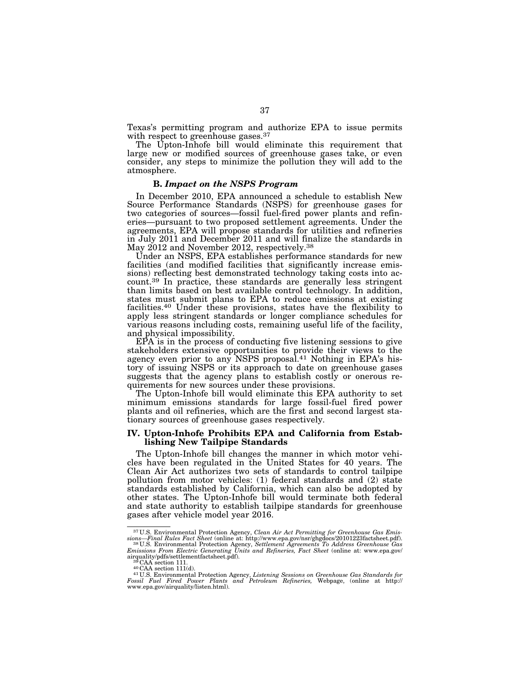Texas's permitting program and authorize EPA to issue permits with respect to greenhouse gases.<sup>37</sup>

The Upton-Inhofe bill would eliminate this requirement that large new or modified sources of greenhouse gases take, or even consider, any steps to minimize the pollution they will add to the atmosphere.

#### **B.** *Impact on the NSPS Program*

In December 2010, EPA announced a schedule to establish New Source Performance Standards (NSPS) for greenhouse gases for two categories of sources—fossil fuel-fired power plants and refineries—pursuant to two proposed settlement agreements. Under the agreements, EPA will propose standards for utilities and refineries in July 2011 and December 2011 and will finalize the standards in May 2012 and November 2012, respectively.<sup>38</sup>

Under an NSPS, EPA establishes performance standards for new facilities (and modified facilities that significantly increase emissions) reflecting best demonstrated technology taking costs into account.<sup>39</sup> In practice, these standards are generally less stringent than limits based on best available control technology. In addition, states must submit plans to EPA to reduce emissions at existing facilities.40 Under these provisions, states have the flexibility to apply less stringent standards or longer compliance schedules for various reasons including costs, remaining useful life of the facility, and physical impossibility.

 $E\overrightarrow{PA}$  is in the process of conducting five listening sessions to give stakeholders extensive opportunities to provide their views to the agency even prior to any NSPS proposal.41 Nothing in EPA's history of issuing NSPS or its approach to date on greenhouse gases suggests that the agency plans to establish costly or onerous requirements for new sources under these provisions.

The Upton-Inhofe bill would eliminate this EPA authority to set minimum emissions standards for large fossil-fuel fired power plants and oil refineries, which are the first and second largest stationary sources of greenhouse gases respectively.

#### **IV. Upton-Inhofe Prohibits EPA and California from Establishing New Tailpipe Standards**

The Upton-Inhofe bill changes the manner in which motor vehicles have been regulated in the United States for 40 years. The Clean Air Act authorizes two sets of standards to control tailpipe pollution from motor vehicles: (1) federal standards and (2) state standards established by California, which can also be adopted by other states. The Upton-Inhofe bill would terminate both federal and state authority to establish tailpipe standards for greenhouse gases after vehicle model year 2016.

 $^{37}$ U.S. Environmental Protection Agency, Clean Air Act Permitting for Greenhouse Gas Emissions—Final Rules Fact Sheet (online at: http://www.epa.gov/nsr/ghgdocs/20101223factsheet.pdf).<br> $^{38}$ U.S. Environmental Protecti

airquality/pdfs/settlementfactsheet.pdf). 39 CAA section 111. 40 CAA section 111(d). 41 U.S. Environmental Protection Agency, *Listening Sessions on Greenhouse Gas Standards for* 

*Fossil Fuel Fired Power Plants and Petroleum Refineries,* Webpage, (online at http:// www.epa.gov/airquality/listen.html).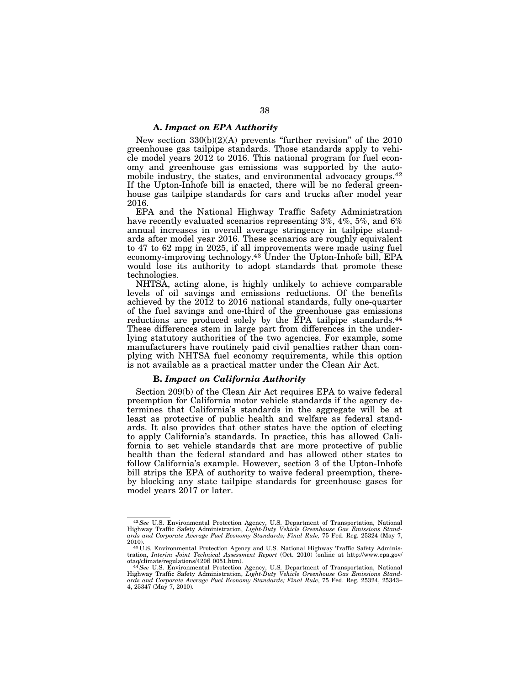#### **A.** *Impact on EPA Authority*

New section  $330(b)(2)(A)$  prevents "further revision" of the  $2010$ greenhouse gas tailpipe standards. Those standards apply to vehicle model years 2012 to 2016. This national program for fuel economy and greenhouse gas emissions was supported by the automobile industry, the states, and environmental advocacy groups.42 If the Upton-Inhofe bill is enacted, there will be no federal greenhouse gas tailpipe standards for cars and trucks after model year 2016.

EPA and the National Highway Traffic Safety Administration have recently evaluated scenarios representing 3%, 4%, 5%, and 6% annual increases in overall average stringency in tailpipe standards after model year 2016. These scenarios are roughly equivalent to 47 to 62 mpg in 2025, if all improvements were made using fuel economy-improving technology.<sup>43</sup> Under the Upton-Inhofe bill, EPA would lose its authority to adopt standards that promote these technologies.

NHTSA, acting alone, is highly unlikely to achieve comparable levels of oil savings and emissions reductions. Of the benefits achieved by the 2012 to 2016 national standards, fully one-quarter of the fuel savings and one-third of the greenhouse gas emissions reductions are produced solely by the EPA tailpipe standards.<sup>44</sup> These differences stem in large part from differences in the underlying statutory authorities of the two agencies. For example, some manufacturers have routinely paid civil penalties rather than complying with NHTSA fuel economy requirements, while this option is not available as a practical matter under the Clean Air Act.

## **B.** *Impact on California Authority*

Section 209(b) of the Clean Air Act requires EPA to waive federal preemption for California motor vehicle standards if the agency determines that California's standards in the aggregate will be at least as protective of public health and welfare as federal standards. It also provides that other states have the option of electing to apply California's standards. In practice, this has allowed California to set vehicle standards that are more protective of public health than the federal standard and has allowed other states to follow California's example. However, section 3 of the Upton-Inhofe bill strips the EPA of authority to waive federal preemption, thereby blocking any state tailpipe standards for greenhouse gases for model years 2017 or later.

<sup>42</sup>*See* U.S. Environmental Protection Agency, U.S. Department of Transportation, National Highway Traffic Safety Administration, *Light-Duty Vehicle Greenhouse Gas Emissions Standards and Corporate Average Fuel Economy Standards; Final Rule,* 75 Fed. Reg. 25324 (May 7,

<sup>2010). 43</sup> U.S. Environmental Protection Agency and U.S. National Highway Traffic Safety Administration, *Interim Joint Technical Assessment Report* (Oct. 2010) (online at http://www.epa.gov/<br>otaq/climate/regulations/420fl 0051.htm).

otaq/climate/regulations/420f1 0051.htm).<br><sup>44</sup> See U.S. Environmental Protection Agency, U.S. Department of Transportation, National<br>Highway Traffic Safety Administration, *Light-Duty Vehicle Greenhouse Gas Emissions Stand ards and Corporate Average Fuel Economy Standards; Final Rule*, 75 Fed. Reg. 25324, 25343– 4, 25347 (May 7, 2010).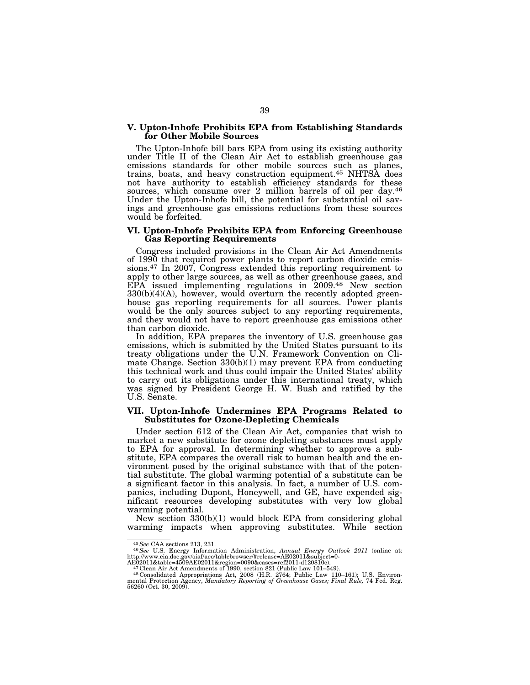#### **V. Upton-Inhofe Prohibits EPA from Establishing Standards for Other Mobile Sources**

The Upton-Inhofe bill bars EPA from using its existing authority under Title II of the Clean Air Act to establish greenhouse gas emissions standards for other mobile sources such as planes, trains, boats, and heavy construction equipment.45 NHTSA does not have authority to establish efficiency standards for these sources, which consume over 2 million barrels of oil per day.<sup>46</sup> Under the Upton-Inhofe bill, the potential for substantial oil savings and greenhouse gas emissions reductions from these sources would be forfeited.

#### **VI. Upton-Inhofe Prohibits EPA from Enforcing Greenhouse Gas Reporting Requirements**

Congress included provisions in the Clean Air Act Amendments of 1990 that required power plants to report carbon dioxide emissions.47 In 2007, Congress extended this reporting requirement to apply to other large sources, as well as other greenhouse gases, and EPA issued implementing regulations in 2009.48 New section  $330(b)(4)(A)$ , however, would overturn the recently adopted greenhouse gas reporting requirements for all sources. Power plants would be the only sources subject to any reporting requirements, and they would not have to report greenhouse gas emissions other than carbon dioxide.

In addition, EPA prepares the inventory of U.S. greenhouse gas emissions, which is submitted by the United States pursuant to its treaty obligations under the U.N. Framework Convention on Climate Change. Section  $330(b)(1)$  may prevent EPA from conducting this technical work and thus could impair the United States' ability to carry out its obligations under this international treaty, which was signed by President George H. W. Bush and ratified by the U.S. Senate.

#### **VII. Upton-Inhofe Undermines EPA Programs Related to Substitutes for Ozone-Depleting Chemicals**

Under section 612 of the Clean Air Act, companies that wish to market a new substitute for ozone depleting substances must apply to EPA for approval. In determining whether to approve a substitute, EPA compares the overall risk to human health and the environment posed by the original substance with that of the potential substitute. The global warming potential of a substitute can be a significant factor in this analysis. In fact, a number of U.S. companies, including Dupont, Honeywell, and GE, have expended significant resources developing substitutes with very low global warming potential.

New section 330(b)(1) would block EPA from considering global warming impacts when approving substitutes. While section

<sup>45</sup>*See* CAA sections 213, 231. 46*See* U.S. Energy Information Administration, *Annual Energy Outlook 2011* (online at: http://www.eia.doe.gov/oiaf/aeo/tablebrowser/#release=AE02011&subject=0-<br>AE02011&table=4509AE02011&region=0090&cases=ref2011-d120810c).<br><sup>47</sup>Clean Air Act Amendments of 1990, section 821 (Public Law 101–549).<br><sup>47</sup>Clean Air

mental Protection Agency, *Mandatory Reporting of Greenhouse Gases; Final Rule,* 74 Fed. Reg.<br>56260 (Oct. 30, 2009).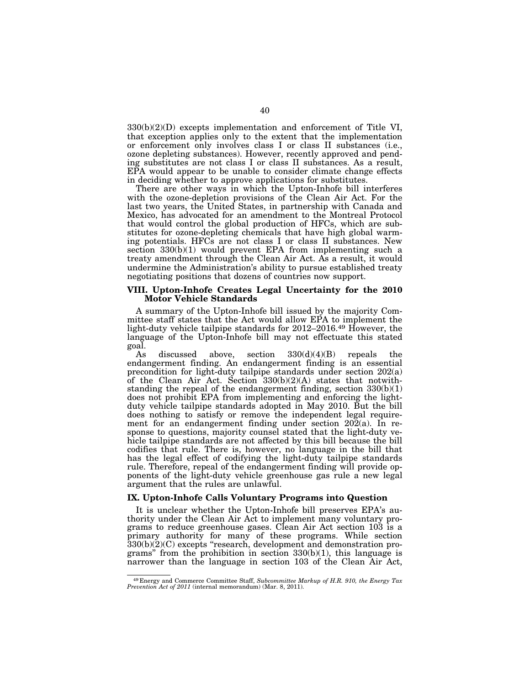$330(b)(2)(D)$  excepts implementation and enforcement of Title VI, that exception applies only to the extent that the implementation or enforcement only involves class I or class II substances (i.e., ozone depleting substances). However, recently approved and pending substitutes are not class I or class II substances. As a result, EPA would appear to be unable to consider climate change effects in deciding whether to approve applications for substitutes.

There are other ways in which the Upton-Inhofe bill interferes with the ozone-depletion provisions of the Clean Air Act. For the last two years, the United States, in partnership with Canada and Mexico, has advocated for an amendment to the Montreal Protocol that would control the global production of HFCs, which are substitutes for ozone-depleting chemicals that have high global warming potentials. HFCs are not class I or class II substances. New section 330(b)(1) would prevent EPA from implementing such a treaty amendment through the Clean Air Act. As a result, it would undermine the Administration's ability to pursue established treaty negotiating positions that dozens of countries now support.

#### **VIII. Upton-Inhofe Creates Legal Uncertainty for the 2010 Motor Vehicle Standards**

A summary of the Upton-Inhofe bill issued by the majority Committee staff states that the Act would allow EPA to implement the light-duty vehicle tailpipe standards for 2012–2016.49 However, the language of the Upton-Inhofe bill may not effectuate this stated goal.

discussed above, section  $330(d)(4)(B)$  repeals the endangerment finding. An endangerment finding is an essential precondition for light-duty tailpipe standards under section 202(a) of the Clean Air Act. Section 330(b)(2)(A) states that notwithstanding the repeal of the endangerment finding, section 330(b)(1) does not prohibit EPA from implementing and enforcing the lightduty vehicle tailpipe standards adopted in May 2010. But the bill does nothing to satisfy or remove the independent legal requirement for an endangerment finding under section  $20\overline{2}(a)$ . In response to questions, majority counsel stated that the light-duty vehicle tailpipe standards are not affected by this bill because the bill codifies that rule. There is, however, no language in the bill that has the legal effect of codifying the light-duty tailpipe standards rule. Therefore, repeal of the endangerment finding will provide opponents of the light-duty vehicle greenhouse gas rule a new legal argument that the rules are unlawful.

#### **IX. Upton-Inhofe Calls Voluntary Programs into Question**

It is unclear whether the Upton-Inhofe bill preserves EPA's authority under the Clean Air Act to implement many voluntary programs to reduce greenhouse gases. Clean Air Act section 103 is a primary authority for many of these programs. While section 330(b)(2)(C) excepts ''research, development and demonstration programs" from the prohibition in section  $330(b)(1)$ , this language is narrower than the language in section 103 of the Clean Air Act,

<sup>49</sup> Energy and Commerce Committee Staff, *Subcommittee Markup of H.R. 910, the Energy Tax Prevention Act of 2011* (internal memorandum) (Mar. 8, 2011).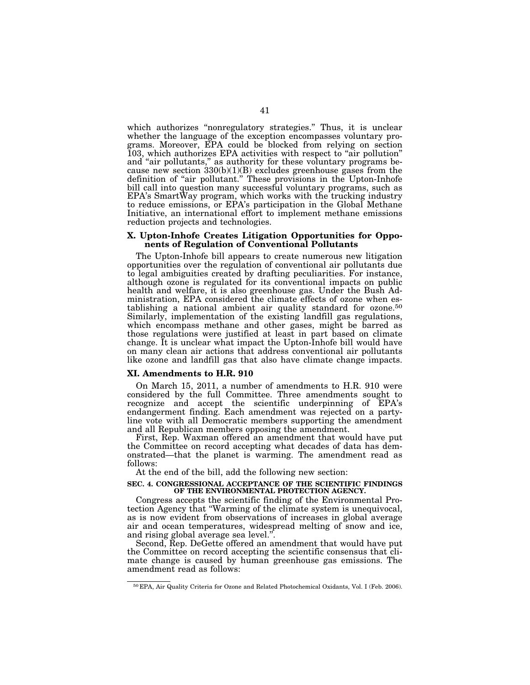which authorizes "nonregulatory strategies." Thus, it is unclear whether the language of the exception encompasses voluntary programs. Moreover, EPA could be blocked from relying on section 103, which authorizes EPA activities with respect to ''air pollution'' and "air pollutants," as authority for these voluntary programs because new section  $330(b)(1)(B)$  excludes greenhouse gases from the definition of "air pollutant." These provisions in the Upton-Inhofe bill call into question many successful voluntary programs, such as EPA's SmartWay program, which works with the trucking industry to reduce emissions, or EPA's participation in the Global Methane Initiative, an international effort to implement methane emissions reduction projects and technologies.

#### **X. Upton-Inhofe Creates Litigation Opportunities for Opponents of Regulation of Conventional Pollutants**

The Upton-Inhofe bill appears to create numerous new litigation opportunities over the regulation of conventional air pollutants due to legal ambiguities created by drafting peculiarities. For instance, although ozone is regulated for its conventional impacts on public health and welfare, it is also greenhouse gas. Under the Bush Administration, EPA considered the climate effects of ozone when establishing a national ambient air quality standard for ozone.50 Similarly, implementation of the existing landfill gas regulations, which encompass methane and other gases, might be barred as those regulations were justified at least in part based on climate change. It is unclear what impact the Upton-Inhofe bill would have on many clean air actions that address conventional air pollutants like ozone and landfill gas that also have climate change impacts.

#### **XI. Amendments to H.R. 910**

On March 15, 2011, a number of amendments to H.R. 910 were considered by the full Committee. Three amendments sought to recognize and accept the scientific underpinning of EPA's endangerment finding. Each amendment was rejected on a partyline vote with all Democratic members supporting the amendment and all Republican members opposing the amendment.

First, Rep. Waxman offered an amendment that would have put the Committee on record accepting what decades of data has demonstrated—that the planet is warming. The amendment read as follows:

At the end of the bill, add the following new section:

#### **SEC. 4. CONGRESSIONAL ACCEPTANCE OF THE SCIENTIFIC FINDINGS OF THE ENVIRONMENTAL PROTECTION AGENCY.**

Congress accepts the scientific finding of the Environmental Protection Agency that ''Warming of the climate system is unequivocal, as is now evident from observations of increases in global average air and ocean temperatures, widespread melting of snow and ice, and rising global average sea level.''.

Second, Rep. DeGette offered an amendment that would have put the Committee on record accepting the scientific consensus that climate change is caused by human greenhouse gas emissions. The amendment read as follows:

<sup>50</sup> EPA, Air Quality Criteria for Ozone and Related Photochemical Oxidants, Vol. I (Feb. 2006).